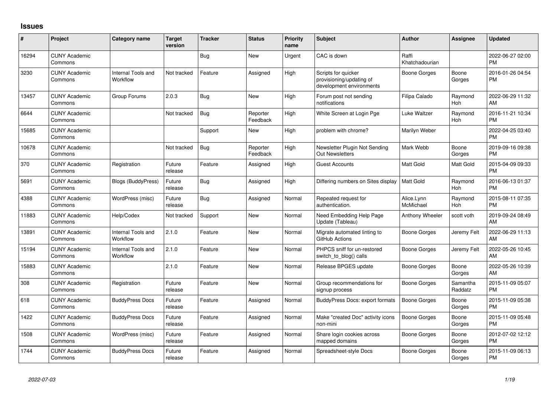## **Issues**

| #     | Project                         | <b>Category name</b>           | <b>Target</b><br>version | <b>Tracker</b> | <b>Status</b>        | Priority<br>name | <b>Subject</b>                                                              | <b>Author</b>           | Assignee            | <b>Updated</b>                |
|-------|---------------------------------|--------------------------------|--------------------------|----------------|----------------------|------------------|-----------------------------------------------------------------------------|-------------------------|---------------------|-------------------------------|
| 16294 | <b>CUNY Academic</b><br>Commons |                                |                          | <b>Bug</b>     | <b>New</b>           | Urgent           | CAC is down                                                                 | Raffi<br>Khatchadourian |                     | 2022-06-27 02:00<br><b>PM</b> |
| 3230  | <b>CUNY Academic</b><br>Commons | Internal Tools and<br>Workflow | Not tracked              | Feature        | Assigned             | High             | Scripts for quicker<br>provisioning/updating of<br>development environments | Boone Gorges            | Boone<br>Gorges     | 2016-01-26 04:54<br>PM        |
| 13457 | <b>CUNY Academic</b><br>Commons | Group Forums                   | 2.0.3                    | <b>Bug</b>     | New                  | High             | Forum post not sending<br>notifications                                     | Filipa Calado           | Raymond<br>Hoh      | 2022-06-29 11:32<br><b>AM</b> |
| 6644  | <b>CUNY Academic</b><br>Commons |                                | Not tracked              | Bug            | Reporter<br>Feedback | High             | White Screen at Login Pge                                                   | Luke Waltzer            | Raymond<br>Hoh      | 2016-11-21 10:34<br><b>PM</b> |
| 15685 | <b>CUNY Academic</b><br>Commons |                                |                          | Support        | New                  | High             | problem with chrome?                                                        | Marilyn Weber           |                     | 2022-04-25 03:40<br><b>PM</b> |
| 10678 | <b>CUNY Academic</b><br>Commons |                                | Not tracked              | Bug            | Reporter<br>Feedback | High             | Newsletter Plugin Not Sending<br>Out Newsletters                            | Mark Webb               | Boone<br>Gorges     | 2019-09-16 09:38<br><b>PM</b> |
| 370   | <b>CUNY Academic</b><br>Commons | Registration                   | Future<br>release        | Feature        | Assigned             | High             | <b>Guest Accounts</b>                                                       | Matt Gold               | Matt Gold           | 2015-04-09 09:33<br><b>PM</b> |
| 5691  | <b>CUNY Academic</b><br>Commons | <b>Blogs (BuddyPress)</b>      | Future<br>release        | Bug            | Assigned             | High             | Differing numbers on Sites display                                          | <b>Matt Gold</b>        | Raymond<br>Hoh      | 2016-06-13 01:37<br><b>PM</b> |
| 4388  | <b>CUNY Academic</b><br>Commons | WordPress (misc)               | Future<br>release        | Bug            | Assigned             | Normal           | Repeated request for<br>authentication.                                     | Alice.Lynn<br>McMichael | Raymond<br>Hoh      | 2015-08-11 07:35<br><b>PM</b> |
| 11883 | <b>CUNY Academic</b><br>Commons | Help/Codex                     | Not tracked              | Support        | <b>New</b>           | Normal           | Need Embedding Help Page<br>Update (Tableau)                                | Anthony Wheeler         | scott voth          | 2019-09-24 08:49<br>AM        |
| 13891 | <b>CUNY Academic</b><br>Commons | Internal Tools and<br>Workflow | 2.1.0                    | Feature        | New                  | Normal           | Migrate automated linting to<br>GitHub Actions                              | Boone Gorges            | Jeremy Felt         | 2022-06-29 11:13<br>AM        |
| 15194 | <b>CUNY Academic</b><br>Commons | Internal Tools and<br>Workflow | 2.1.0                    | Feature        | <b>New</b>           | Normal           | PHPCS sniff for un-restored<br>switch_to_blog() calls                       | Boone Gorges            | Jeremy Felt         | 2022-05-26 10:45<br><b>AM</b> |
| 15883 | <b>CUNY Academic</b><br>Commons |                                | 2.1.0                    | Feature        | New                  | Normal           | Release BPGES update                                                        | Boone Gorges            | Boone<br>Gorges     | 2022-05-26 10:39<br>AM        |
| 308   | <b>CUNY Academic</b><br>Commons | Registration                   | Future<br>release        | Feature        | <b>New</b>           | Normal           | Group recommendations for<br>signup process                                 | Boone Gorges            | Samantha<br>Raddatz | 2015-11-09 05:07<br><b>PM</b> |
| 618   | <b>CUNY Academic</b><br>Commons | <b>BuddyPress Docs</b>         | Future<br>release        | Feature        | Assigned             | Normal           | BuddyPress Docs: export formats                                             | Boone Gorges            | Boone<br>Gorges     | 2015-11-09 05:38<br><b>PM</b> |
| 1422  | <b>CUNY Academic</b><br>Commons | <b>BuddyPress Docs</b>         | Future<br>release        | Feature        | Assigned             | Normal           | Make "created Doc" activity icons<br>non-mini                               | Boone Gorges            | Boone<br>Gorges     | 2015-11-09 05:48<br><b>PM</b> |
| 1508  | <b>CUNY Academic</b><br>Commons | WordPress (misc)               | Future<br>release        | Feature        | Assigned             | Normal           | Share login cookies across<br>mapped domains                                | Boone Gorges            | Boone<br>Gorges     | 2012-07-02 12:12<br>PM        |
| 1744  | <b>CUNY Academic</b><br>Commons | <b>BuddyPress Docs</b>         | Future<br>release        | Feature        | Assigned             | Normal           | Spreadsheet-style Docs                                                      | Boone Gorges            | Boone<br>Gorges     | 2015-11-09 06:13<br><b>PM</b> |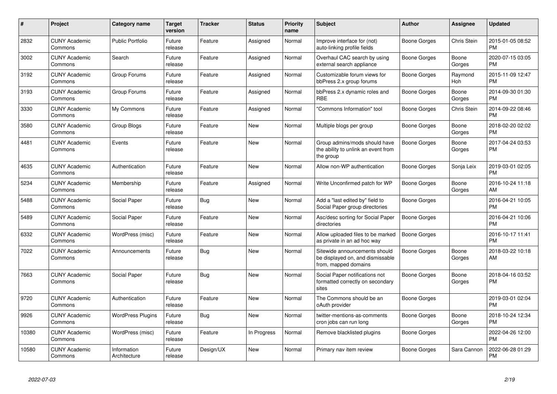| #     | <b>Project</b>                  | Category name               | <b>Target</b><br>version | <b>Tracker</b> | <b>Status</b> | <b>Priority</b><br>name | <b>Subject</b>                                                                            | <b>Author</b> | Assignee           | <b>Updated</b>                |
|-------|---------------------------------|-----------------------------|--------------------------|----------------|---------------|-------------------------|-------------------------------------------------------------------------------------------|---------------|--------------------|-------------------------------|
| 2832  | <b>CUNY Academic</b><br>Commons | <b>Public Portfolio</b>     | Future<br>release        | Feature        | Assigned      | Normal                  | Improve interface for (not)<br>auto-linking profile fields                                | Boone Gorges  | <b>Chris Stein</b> | 2015-01-05 08:52<br><b>PM</b> |
| 3002  | <b>CUNY Academic</b><br>Commons | Search                      | Future<br>release        | Feature        | Assigned      | Normal                  | Overhaul CAC search by using<br>external search appliance                                 | Boone Gorges  | Boone<br>Gorges    | 2020-07-15 03:05<br><b>PM</b> |
| 3192  | <b>CUNY Academic</b><br>Commons | Group Forums                | Future<br>release        | Feature        | Assigned      | Normal                  | Customizable forum views for<br>bbPress 2.x group forums                                  | Boone Gorges  | Raymond<br>Hoh     | 2015-11-09 12:47<br><b>PM</b> |
| 3193  | <b>CUNY Academic</b><br>Commons | Group Forums                | Future<br>release        | Feature        | Assigned      | Normal                  | bbPress 2.x dynamic roles and<br><b>RBE</b>                                               | Boone Gorges  | Boone<br>Gorges    | 2014-09-30 01:30<br><b>PM</b> |
| 3330  | <b>CUNY Academic</b><br>Commons | My Commons                  | Future<br>release        | Feature        | Assigned      | Normal                  | "Commons Information" tool                                                                | Boone Gorges  | <b>Chris Stein</b> | 2014-09-22 08:46<br><b>PM</b> |
| 3580  | <b>CUNY Academic</b><br>Commons | Group Blogs                 | Future<br>release        | Feature        | New           | Normal                  | Multiple blogs per group                                                                  | Boone Gorges  | Boone<br>Gorges    | 2018-02-20 02:02<br><b>PM</b> |
| 4481  | <b>CUNY Academic</b><br>Commons | Events                      | Future<br>release        | Feature        | New           | Normal                  | Group admins/mods should have<br>the ability to unlink an event from<br>the group         | Boone Gorges  | Boone<br>Gorges    | 2017-04-24 03:53<br><b>PM</b> |
| 4635  | <b>CUNY Academic</b><br>Commons | Authentication              | Future<br>release        | Feature        | <b>New</b>    | Normal                  | Allow non-WP authentication                                                               | Boone Gorges  | Sonja Leix         | 2019-03-01 02:05<br><b>PM</b> |
| 5234  | <b>CUNY Academic</b><br>Commons | Membership                  | Future<br>release        | Feature        | Assigned      | Normal                  | Write Unconfirmed patch for WP                                                            | Boone Gorges  | Boone<br>Gorges    | 2016-10-24 11:18<br>AM        |
| 5488  | <b>CUNY Academic</b><br>Commons | Social Paper                | Future<br>release        | <b>Bug</b>     | New           | Normal                  | Add a "last edited by" field to<br>Social Paper group directories                         | Boone Gorges  |                    | 2016-04-21 10:05<br><b>PM</b> |
| 5489  | <b>CUNY Academic</b><br>Commons | Social Paper                | Future<br>release        | Feature        | New           | Normal                  | Asc/desc sorting for Social Paper<br>directories                                          | Boone Gorges  |                    | 2016-04-21 10:06<br><b>PM</b> |
| 6332  | <b>CUNY Academic</b><br>Commons | WordPress (misc)            | Future<br>release        | Feature        | New           | Normal                  | Allow uploaded files to be marked<br>as private in an ad hoc way                          | Boone Gorges  |                    | 2016-10-17 11:41<br><b>PM</b> |
| 7022  | <b>CUNY Academic</b><br>Commons | Announcements               | Future<br>release        | <b>Bug</b>     | <b>New</b>    | Normal                  | Sitewide announcements should<br>be displayed on, and dismissable<br>from, mapped domains | Boone Gorges  | Boone<br>Gorges    | 2018-03-22 10:18<br>AM        |
| 7663  | <b>CUNY Academic</b><br>Commons | Social Paper                | Future<br>release        | <b>Bug</b>     | <b>New</b>    | Normal                  | Social Paper notifications not<br>formatted correctly on secondary<br>sites               | Boone Gorges  | Boone<br>Gorges    | 2018-04-16 03:52<br><b>PM</b> |
| 9720  | <b>CUNY Academic</b><br>Commons | Authentication              | Future<br>release        | Feature        | New           | Normal                  | The Commons should be an<br>oAuth provider                                                | Boone Gorges  |                    | 2019-03-01 02:04<br><b>PM</b> |
| 9926  | <b>CUNY Academic</b><br>Commons | <b>WordPress Plugins</b>    | Future<br>release        | Bug            | New           | Normal                  | twitter-mentions-as-comments<br>cron jobs can run long                                    | Boone Gorges  | Boone<br>Gorges    | 2018-10-24 12:34<br><b>PM</b> |
| 10380 | <b>CUNY Academic</b><br>Commons | WordPress (misc)            | Future<br>release        | Feature        | In Progress   | Normal                  | Remove blacklisted plugins                                                                | Boone Gorges  |                    | 2022-04-26 12:00<br><b>PM</b> |
| 10580 | <b>CUNY Academic</b><br>Commons | Information<br>Architecture | Future<br>release        | Design/UX      | <b>New</b>    | Normal                  | Primary nav item review                                                                   | Boone Gorges  | Sara Cannon        | 2022-06-28 01:29<br><b>PM</b> |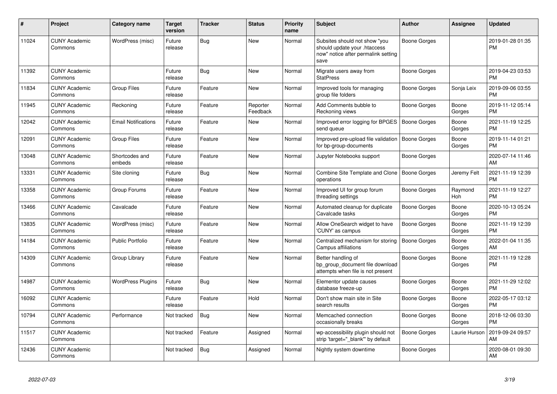| $\#$  | <b>Project</b>                  | <b>Category name</b>       | <b>Target</b><br>version | <b>Tracker</b> | <b>Status</b>        | <b>Priority</b><br>name | <b>Subject</b>                                                                                               | Author              | Assignee        | <b>Updated</b>                |
|-------|---------------------------------|----------------------------|--------------------------|----------------|----------------------|-------------------------|--------------------------------------------------------------------------------------------------------------|---------------------|-----------------|-------------------------------|
| 11024 | <b>CUNY Academic</b><br>Commons | WordPress (misc)           | Future<br>release        | Bug            | <b>New</b>           | Normal                  | Subsites should not show "you<br>should update your .htaccess<br>now" notice after permalink setting<br>save | Boone Gorges        |                 | 2019-01-28 01:35<br><b>PM</b> |
| 11392 | <b>CUNY Academic</b><br>Commons |                            | Future<br>release        | Bug            | <b>New</b>           | Normal                  | Migrate users away from<br><b>StatPress</b>                                                                  | Boone Gorges        |                 | 2019-04-23 03:53<br><b>PM</b> |
| 11834 | <b>CUNY Academic</b><br>Commons | <b>Group Files</b>         | Future<br>release        | Feature        | <b>New</b>           | Normal                  | Improved tools for managing<br>group file folders                                                            | <b>Boone Gorges</b> | Sonja Leix      | 2019-09-06 03:55<br><b>PM</b> |
| 11945 | <b>CUNY Academic</b><br>Commons | Reckoning                  | Future<br>release        | Feature        | Reporter<br>Feedback | Normal                  | Add Comments bubble to<br>Reckoning views                                                                    | Boone Gorges        | Boone<br>Gorges | 2019-11-12 05:14<br><b>PM</b> |
| 12042 | <b>CUNY Academic</b><br>Commons | <b>Email Notifications</b> | Future<br>release        | Feature        | New                  | Normal                  | Improved error logging for BPGES<br>send queue                                                               | <b>Boone Gorges</b> | Boone<br>Gorges | 2021-11-19 12:25<br><b>PM</b> |
| 12091 | <b>CUNY Academic</b><br>Commons | Group Files                | Future<br>release        | Feature        | <b>New</b>           | Normal                  | Improved pre-upload file validation<br>for bp-group-documents                                                | <b>Boone Gorges</b> | Boone<br>Gorges | 2019-11-14 01:21<br><b>PM</b> |
| 13048 | <b>CUNY Academic</b><br>Commons | Shortcodes and<br>embeds   | Future<br>release        | Feature        | <b>New</b>           | Normal                  | Jupyter Notebooks support                                                                                    | Boone Gorges        |                 | 2020-07-14 11:46<br>AM        |
| 13331 | <b>CUNY Academic</b><br>Commons | Site cloning               | Future<br>release        | Bug            | <b>New</b>           | Normal                  | Combine Site Template and Clone   Boone Gorges<br>operations                                                 |                     | Jeremy Felt     | 2021-11-19 12:39<br><b>PM</b> |
| 13358 | <b>CUNY Academic</b><br>Commons | Group Forums               | Future<br>release        | Feature        | <b>New</b>           | Normal                  | Improved UI for group forum<br>threading settings                                                            | Boone Gorges        | Raymond<br>Hoh  | 2021-11-19 12:27<br><b>PM</b> |
| 13466 | <b>CUNY Academic</b><br>Commons | Cavalcade                  | Future<br>release        | Feature        | <b>New</b>           | Normal                  | Automated cleanup for duplicate<br>Cavalcade tasks                                                           | Boone Gorges        | Boone<br>Gorges | 2020-10-13 05:24<br><b>PM</b> |
| 13835 | <b>CUNY Academic</b><br>Commons | WordPress (misc)           | Future<br>release        | Feature        | <b>New</b>           | Normal                  | Allow OneSearch widget to have<br>'CUNY' as campus                                                           | Boone Gorges        | Boone<br>Gorges | 2021-11-19 12:39<br><b>PM</b> |
| 14184 | <b>CUNY Academic</b><br>Commons | <b>Public Portfolio</b>    | Future<br>release        | Feature        | <b>New</b>           | Normal                  | Centralized mechanism for storing<br>Campus affiliations                                                     | <b>Boone Gorges</b> | Boone<br>Gorges | 2022-01-04 11:35<br>AM        |
| 14309 | <b>CUNY Academic</b><br>Commons | Group Library              | Future<br>release        | Feature        | <b>New</b>           | Normal                  | Better handling of<br>bp group document file download<br>attempts when file is not present                   | <b>Boone Gorges</b> | Boone<br>Gorges | 2021-11-19 12:28<br><b>PM</b> |
| 14987 | <b>CUNY Academic</b><br>Commons | <b>WordPress Plugins</b>   | Future<br>release        | Bug            | <b>New</b>           | Normal                  | Elementor update causes<br>database freeze-up                                                                | <b>Boone Gorges</b> | Boone<br>Gorges | 2021-11-29 12:02<br><b>PM</b> |
| 16092 | <b>CUNY Academic</b><br>Commons |                            | Future<br>release        | Feature        | Hold                 | Normal                  | Don't show main site in Site<br>search results                                                               | <b>Boone Gorges</b> | Boone<br>Gorges | 2022-05-17 03:12<br><b>PM</b> |
| 10794 | <b>CUNY Academic</b><br>Commons | Performance                | Not tracked              | Bug            | <b>New</b>           | Normal                  | Memcached connection<br>occasionally breaks                                                                  | Boone Gorges        | Boone<br>Gorges | 2018-12-06 03:30<br><b>PM</b> |
| 11517 | <b>CUNY Academic</b><br>Commons |                            | Not tracked              | Feature        | Assigned             | Normal                  | wp-accessibility plugin should not<br>strip 'target=" blank" by default                                      | Boone Gorges        | Laurie Hurson   | 2019-09-24 09:57<br>AM        |
| 12436 | <b>CUNY Academic</b><br>Commons |                            | Not tracked              | Bug            | Assigned             | Normal                  | Nightly system downtime                                                                                      | Boone Gorges        |                 | 2020-08-01 09:30<br>AM        |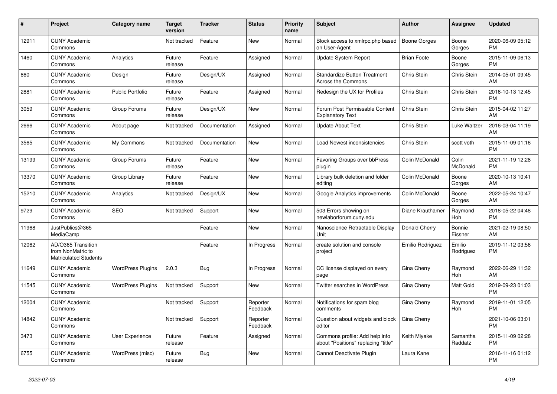| #     | <b>Project</b>                                                          | Category name            | <b>Target</b><br>version | <b>Tracker</b> | <b>Status</b>        | <b>Priority</b><br>name | <b>Subject</b>                                                        | <b>Author</b>       | Assignee            | <b>Updated</b>                |
|-------|-------------------------------------------------------------------------|--------------------------|--------------------------|----------------|----------------------|-------------------------|-----------------------------------------------------------------------|---------------------|---------------------|-------------------------------|
| 12911 | <b>CUNY Academic</b><br>Commons                                         |                          | Not tracked              | Feature        | <b>New</b>           | Normal                  | Block access to xmlrpc.php based<br>on User-Agent                     | <b>Boone Gorges</b> | Boone<br>Gorges     | 2020-06-09 05:12<br><b>PM</b> |
| 1460  | <b>CUNY Academic</b><br>Commons                                         | Analytics                | Future<br>release        | Feature        | Assigned             | Normal                  | <b>Update System Report</b>                                           | <b>Brian Foote</b>  | Boone<br>Gorges     | 2015-11-09 06:13<br><b>PM</b> |
| 860   | <b>CUNY Academic</b><br>Commons                                         | Design                   | Future<br>release        | Design/UX      | Assigned             | Normal                  | <b>Standardize Button Treatment</b><br><b>Across the Commons</b>      | Chris Stein         | Chris Stein         | 2014-05-01 09:45<br>AM        |
| 2881  | <b>CUNY Academic</b><br>Commons                                         | <b>Public Portfolio</b>  | Future<br>release        | Feature        | Assigned             | Normal                  | Redesign the UX for Profiles                                          | Chris Stein         | Chris Stein         | 2016-10-13 12:45<br><b>PM</b> |
| 3059  | <b>CUNY Academic</b><br>Commons                                         | Group Forums             | Future<br>release        | Design/UX      | <b>New</b>           | Normal                  | Forum Post Permissable Content<br><b>Explanatory Text</b>             | Chris Stein         | Chris Stein         | 2015-04-02 11:27<br>AM        |
| 2666  | <b>CUNY Academic</b><br>Commons                                         | About page               | Not tracked              | Documentation  | Assigned             | Normal                  | <b>Update About Text</b>                                              | Chris Stein         | Luke Waltzer        | 2016-03-04 11:19<br>AM        |
| 3565  | <b>CUNY Academic</b><br>Commons                                         | My Commons               | Not tracked              | Documentation  | New                  | Normal                  | Load Newest inconsistencies                                           | Chris Stein         | scott voth          | 2015-11-09 01:16<br><b>PM</b> |
| 13199 | <b>CUNY Academic</b><br>Commons                                         | Group Forums             | Future<br>release        | Feature        | <b>New</b>           | Normal                  | Favoring Groups over bbPress<br>plugin                                | Colin McDonald      | Colin<br>McDonald   | 2021-11-19 12:28<br><b>PM</b> |
| 13370 | <b>CUNY Academic</b><br>Commons                                         | Group Library            | Future<br>release        | Feature        | New                  | Normal                  | Library bulk deletion and folder<br>editing                           | Colin McDonald      | Boone<br>Gorges     | 2020-10-13 10:41<br>AM        |
| 15210 | <b>CUNY Academic</b><br>Commons                                         | Analytics                | Not tracked              | Design/UX      | New                  | Normal                  | Google Analytics improvements                                         | Colin McDonald      | Boone<br>Gorges     | 2022-05-24 10:47<br><b>AM</b> |
| 9729  | <b>CUNY Academic</b><br>Commons                                         | <b>SEO</b>               | Not tracked              | Support        | <b>New</b>           | Normal                  | 503 Errors showing on<br>newlaborforum.cuny.edu                       | Diane Krauthamer    | Raymond<br>Hoh      | 2018-05-22 04:48<br><b>PM</b> |
| 11968 | JustPublics@365<br>MediaCamp                                            |                          |                          | Feature        | <b>New</b>           | Normal                  | Nanoscience Retractable Display<br><b>Unit</b>                        | Donald Cherry       | Bonnie<br>Eissner   | 2021-02-19 08:50<br>AM        |
| 12062 | AD/O365 Transition<br>from NonMatric to<br><b>Matriculated Students</b> |                          |                          | Feature        | In Progress          | Normal                  | create solution and console<br>project                                | Emilio Rodriguez    | Emilio<br>Rodriguez | 2019-11-12 03:56<br><b>PM</b> |
| 11649 | <b>CUNY Academic</b><br>Commons                                         | <b>WordPress Plugins</b> | 2.0.3                    | Bug            | In Progress          | Normal                  | CC license displayed on every<br>page                                 | <b>Gina Cherry</b>  | Raymond<br>Hoh      | 2022-06-29 11:32<br>AM        |
| 11545 | <b>CUNY Academic</b><br>Commons                                         | <b>WordPress Plugins</b> | Not tracked              | Support        | New                  | Normal                  | <b>Twitter searches in WordPress</b>                                  | Gina Cherry         | Matt Gold           | 2019-09-23 01:03<br><b>PM</b> |
| 12004 | <b>CUNY Academic</b><br>Commons                                         |                          | Not tracked              | Support        | Reporter<br>Feedback | Normal                  | Notifications for spam blog<br>comments                               | Gina Cherry         | Raymond<br>Hoh      | 2019-11-01 12:05<br><b>PM</b> |
| 14842 | <b>CUNY Academic</b><br>Commons                                         |                          | Not tracked              | Support        | Reporter<br>Feedback | Normal                  | Question about widgets and block<br>editor                            | Gina Cherry         |                     | 2021-10-06 03:01<br><b>PM</b> |
| 3473  | <b>CUNY Academic</b><br>Commons                                         | User Experience          | Future<br>release        | Feature        | Assigned             | Normal                  | Commons profile: Add help info<br>about "Positions" replacing "title" | Keith Miyake        | Samantha<br>Raddatz | 2015-11-09 02:28<br><b>PM</b> |
| 6755  | <b>CUNY Academic</b><br>Commons                                         | WordPress (misc)         | Future<br>release        | Bug            | <b>New</b>           | Normal                  | Cannot Deactivate Plugin                                              | Laura Kane          |                     | 2016-11-16 01:12<br><b>PM</b> |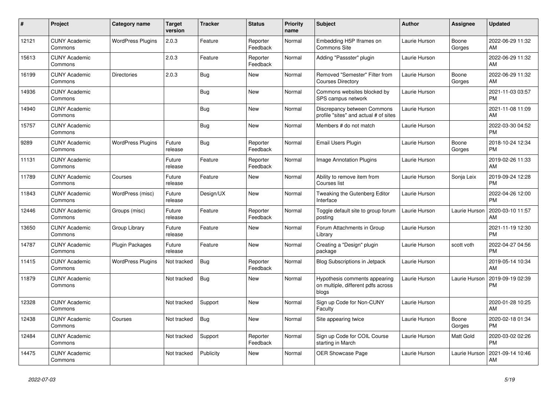| #     | Project                         | <b>Category name</b>     | <b>Target</b><br>version | <b>Tracker</b> | <b>Status</b>        | <b>Priority</b><br>name | <b>Subject</b>                                                               | <b>Author</b> | <b>Assignee</b> | <b>Updated</b>                |
|-------|---------------------------------|--------------------------|--------------------------|----------------|----------------------|-------------------------|------------------------------------------------------------------------------|---------------|-----------------|-------------------------------|
| 12121 | <b>CUNY Academic</b><br>Commons | <b>WordPress Plugins</b> | 2.0.3                    | Feature        | Reporter<br>Feedback | Normal                  | Embedding H5P Iframes on<br><b>Commons Site</b>                              | Laurie Hurson | Boone<br>Gorges | 2022-06-29 11:32<br>AM        |
| 15613 | <b>CUNY Academic</b><br>Commons |                          | 2.0.3                    | Feature        | Reporter<br>Feedback | Normal                  | Adding "Passster" plugin                                                     | Laurie Hurson |                 | 2022-06-29 11:32<br>AM        |
| 16199 | <b>CUNY Academic</b><br>Commons | <b>Directories</b>       | 2.0.3                    | Bug            | <b>New</b>           | Normal                  | Removed "Semester" Filter from<br><b>Courses Directory</b>                   | Laurie Hurson | Boone<br>Gorges | 2022-06-29 11:32<br>AM        |
| 14936 | <b>CUNY Academic</b><br>Commons |                          |                          | <b>Bug</b>     | New                  | Normal                  | Commons websites blocked by<br>SPS campus network                            | Laurie Hurson |                 | 2021-11-03 03:57<br><b>PM</b> |
| 14940 | <b>CUNY Academic</b><br>Commons |                          |                          | Bug            | New                  | Normal                  | Discrepancy between Commons<br>profile "sites" and actual # of sites         | Laurie Hurson |                 | 2021-11-08 11:09<br>AM        |
| 15757 | <b>CUNY Academic</b><br>Commons |                          |                          | Bug            | <b>New</b>           | Normal                  | Members # do not match                                                       | Laurie Hurson |                 | 2022-03-30 04:52<br><b>PM</b> |
| 9289  | <b>CUNY Academic</b><br>Commons | <b>WordPress Plugins</b> | Future<br>release        | <b>Bug</b>     | Reporter<br>Feedback | Normal                  | Email Users Plugin                                                           | Laurie Hurson | Boone<br>Gorges | 2018-10-24 12:34<br><b>PM</b> |
| 11131 | <b>CUNY Academic</b><br>Commons |                          | Future<br>release        | Feature        | Reporter<br>Feedback | Normal                  | Image Annotation Plugins                                                     | Laurie Hurson |                 | 2019-02-26 11:33<br>AM        |
| 11789 | <b>CUNY Academic</b><br>Commons | Courses                  | Future<br>release        | Feature        | <b>New</b>           | Normal                  | Ability to remove item from<br>Courses list                                  | Laurie Hurson | Sonja Leix      | 2019-09-24 12:28<br><b>PM</b> |
| 11843 | <b>CUNY Academic</b><br>Commons | WordPress (misc)         | Future<br>release        | Design/UX      | <b>New</b>           | Normal                  | Tweaking the Gutenberg Editor<br>Interface                                   | Laurie Hurson |                 | 2022-04-26 12:00<br><b>PM</b> |
| 12446 | <b>CUNY Academic</b><br>Commons | Groups (misc)            | Future<br>release        | Feature        | Reporter<br>Feedback | Normal                  | Toggle default site to group forum<br>posting                                | Laurie Hurson | Laurie Hurson   | 2020-03-10 11:57<br>AM        |
| 13650 | <b>CUNY Academic</b><br>Commons | Group Library            | Future<br>release        | Feature        | New                  | Normal                  | Forum Attachments in Group<br>Library                                        | Laurie Hurson |                 | 2021-11-19 12:30<br><b>PM</b> |
| 14787 | <b>CUNY Academic</b><br>Commons | Plugin Packages          | Future<br>release        | Feature        | <b>New</b>           | Normal                  | Creating a "Design" plugin<br>package                                        | Laurie Hurson | scott voth      | 2022-04-27 04:56<br><b>PM</b> |
| 11415 | <b>CUNY Academic</b><br>Commons | <b>WordPress Plugins</b> | Not tracked              | Bug            | Reporter<br>Feedback | Normal                  | <b>Blog Subscriptions in Jetpack</b>                                         | Laurie Hurson |                 | 2019-05-14 10:34<br>AM        |
| 11879 | <b>CUNY Academic</b><br>Commons |                          | Not tracked              | Bug            | New                  | Normal                  | Hypothesis comments appearing<br>on multiple, different pdfs across<br>blogs | Laurie Hurson | Laurie Hurson   | 2019-09-19 02:39<br><b>PM</b> |
| 12328 | <b>CUNY Academic</b><br>Commons |                          | Not tracked              | Support        | <b>New</b>           | Normal                  | Sign up Code for Non-CUNY<br>Faculty                                         | Laurie Hurson |                 | 2020-01-28 10:25<br>AM        |
| 12438 | <b>CUNY Academic</b><br>Commons | Courses                  | Not tracked              | <b>Bug</b>     | New                  | Normal                  | Site appearing twice                                                         | Laurie Hurson | Boone<br>Gorges | 2020-02-18 01:34<br><b>PM</b> |
| 12484 | <b>CUNY Academic</b><br>Commons |                          | Not tracked              | Support        | Reporter<br>Feedback | Normal                  | Sign up Code for COIL Course<br>starting in March                            | Laurie Hurson | Matt Gold       | 2020-03-02 02:26<br><b>PM</b> |
| 14475 | <b>CUNY Academic</b><br>Commons |                          | Not tracked              | Publicity      | <b>New</b>           | Normal                  | <b>OER Showcase Page</b>                                                     | Laurie Hurson | Laurie Hurson   | 2021-09-14 10:46<br>AM        |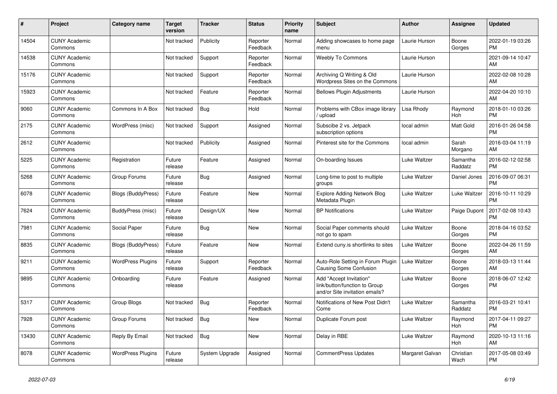| #     | Project                         | <b>Category name</b>     | <b>Target</b><br>version | <b>Tracker</b> | <b>Status</b>        | <b>Priority</b><br>name | <b>Subject</b>                                                                             | <b>Author</b>   | <b>Assignee</b>     | <b>Updated</b>                |
|-------|---------------------------------|--------------------------|--------------------------|----------------|----------------------|-------------------------|--------------------------------------------------------------------------------------------|-----------------|---------------------|-------------------------------|
| 14504 | <b>CUNY Academic</b><br>Commons |                          | Not tracked              | Publicity      | Reporter<br>Feedback | Normal                  | Adding showcases to home page<br>menu                                                      | Laurie Hurson   | Boone<br>Gorges     | 2022-01-19 03:26<br><b>PM</b> |
| 14538 | <b>CUNY Academic</b><br>Commons |                          | Not tracked              | Support        | Reporter<br>Feedback | Normal                  | <b>Weebly To Commons</b>                                                                   | Laurie Hurson   |                     | 2021-09-14 10:47<br>AM        |
| 15176 | <b>CUNY Academic</b><br>Commons |                          | Not tracked              | Support        | Reporter<br>Feedback | Normal                  | Archiving Q Writing & Old<br>Wordpress Sites on the Commons                                | Laurie Hurson   |                     | 2022-02-08 10:28<br>AM        |
| 15923 | <b>CUNY Academic</b><br>Commons |                          | Not tracked              | Feature        | Reporter<br>Feedback | Normal                  | <b>Bellows Plugin Adjustments</b>                                                          | Laurie Hurson   |                     | 2022-04-20 10:10<br>AM        |
| 9060  | <b>CUNY Academic</b><br>Commons | Commons In A Box         | Not tracked              | <b>Bug</b>     | Hold                 | Normal                  | Problems with CBox image library<br>upload                                                 | Lisa Rhody      | Raymond<br>Hoh      | 2018-01-10 03:26<br><b>PM</b> |
| 2175  | <b>CUNY Academic</b><br>Commons | WordPress (misc)         | Not tracked              | Support        | Assigned             | Normal                  | Subscibe 2 vs. Jetpack<br>subscription options                                             | local admin     | Matt Gold           | 2016-01-26 04:58<br><b>PM</b> |
| 2612  | <b>CUNY Academic</b><br>Commons |                          | Not tracked              | Publicity      | Assigned             | Normal                  | Pinterest site for the Commons                                                             | local admin     | Sarah<br>Morgano    | 2016-03-04 11:19<br>AM        |
| 5225  | <b>CUNY Academic</b><br>Commons | Registration             | Future<br>release        | Feature        | Assigned             | Normal                  | On-boarding Issues                                                                         | Luke Waltzer    | Samantha<br>Raddatz | 2016-02-12 02:58<br><b>PM</b> |
| 5268  | <b>CUNY Academic</b><br>Commons | Group Forums             | Future<br>release        | Bug            | Assigned             | Normal                  | Long-time to post to multiple<br>groups                                                    | Luke Waltzer    | Daniel Jones        | 2016-09-07 06:31<br><b>PM</b> |
| 6078  | <b>CUNY Academic</b><br>Commons | Blogs (BuddyPress)       | Future<br>release        | Feature        | <b>New</b>           | Normal                  | <b>Explore Adding Network Blog</b><br>Metadata Plugin                                      | Luke Waltzer    | Luke Waltzer        | 2016-10-11 10:29<br><b>PM</b> |
| 7624  | <b>CUNY Academic</b><br>Commons | BuddyPress (misc)        | Future<br>release        | Design/UX      | New                  | Normal                  | <b>BP</b> Notifications                                                                    | Luke Waltzer    | Paige Dupont        | 2017-02-08 10:43<br><b>PM</b> |
| 7981  | <b>CUNY Academic</b><br>Commons | Social Paper             | Future<br>release        | Bug            | New                  | Normal                  | Social Paper comments should<br>not go to spam                                             | Luke Waltzer    | Boone<br>Gorges     | 2018-04-16 03:52<br><b>PM</b> |
| 8835  | <b>CUNY Academic</b><br>Commons | Blogs (BuddyPress)       | Future<br>release        | Feature        | <b>New</b>           | Normal                  | Extend cuny is shortlinks to sites                                                         | Luke Waltzer    | Boone<br>Gorges     | 2022-04-26 11:59<br>AM        |
| 9211  | <b>CUNY Academic</b><br>Commons | <b>WordPress Plugins</b> | Future<br>release        | Support        | Reporter<br>Feedback | Normal                  | Auto-Role Setting in Forum Plugin<br>Causing Some Confusion                                | Luke Waltzer    | Boone<br>Gorges     | 2018-03-13 11:44<br>AM        |
| 9895  | <b>CUNY Academic</b><br>Commons | Onboarding               | Future<br>release        | Feature        | Assigned             | Normal                  | Add "Accept Invitation"<br>link/button/function to Group<br>and/or Site invitation emails? | Luke Waltzer    | Boone<br>Gorges     | 2018-06-07 12:42<br><b>PM</b> |
| 5317  | <b>CUNY Academic</b><br>Commons | Group Blogs              | Not tracked              | <b>Bug</b>     | Reporter<br>Feedback | Normal                  | Notifications of New Post Didn't<br>Come                                                   | Luke Waltzer    | Samantha<br>Raddatz | 2016-03-21 10:41<br><b>PM</b> |
| 7928  | <b>CUNY Academic</b><br>Commons | Group Forums             | Not tracked              | <b>Bug</b>     | New                  | Normal                  | Duplicate Forum post                                                                       | Luke Waltzer    | Raymond<br>Hoh      | 2017-04-11 09:27<br><b>PM</b> |
| 13430 | <b>CUNY Academic</b><br>Commons | Reply By Email           | Not tracked              | <b>Bug</b>     | <b>New</b>           | Normal                  | Delay in RBE                                                                               | Luke Waltzer    | Raymond<br>Hoh      | 2020-10-13 11:16<br>AM        |
| 8078  | <b>CUNY Academic</b><br>Commons | <b>WordPress Plugins</b> | Future<br>release        | System Upgrade | Assigned             | Normal                  | <b>CommentPress Updates</b>                                                                | Margaret Galvan | Christian<br>Wach   | 2017-05-08 03:49<br><b>PM</b> |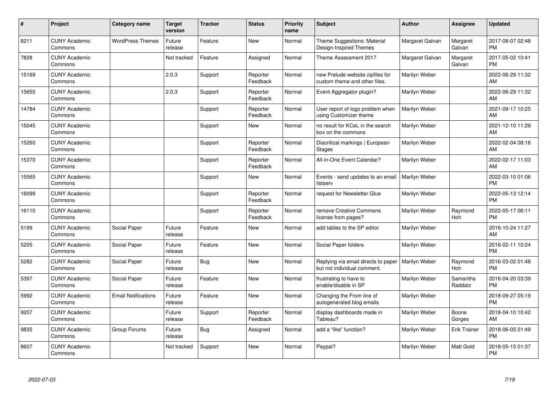| #     | Project                         | Category name              | <b>Target</b><br>version | <b>Tracker</b> | <b>Status</b>        | <b>Priority</b><br>name | <b>Subject</b>                                                     | Author          | <b>Assignee</b>     | <b>Updated</b>                |
|-------|---------------------------------|----------------------------|--------------------------|----------------|----------------------|-------------------------|--------------------------------------------------------------------|-----------------|---------------------|-------------------------------|
| 8211  | <b>CUNY Academic</b><br>Commons | <b>WordPress Themes</b>    | Future<br>release        | Feature        | <b>New</b>           | Normal                  | Theme Suggestions: Material<br>Design-Inspired Themes              | Margaret Galvan | Margaret<br>Galvan  | 2017-08-07 02:48<br><b>PM</b> |
| 7828  | <b>CUNY Academic</b><br>Commons |                            | Not tracked              | Feature        | Assigned             | Normal                  | Theme Assessment 2017                                              | Margaret Galvan | Margaret<br>Galvan  | 2017-05-02 10:41<br><b>PM</b> |
| 15169 | <b>CUNY Academic</b><br>Commons |                            | 2.0.3                    | Support        | Reporter<br>Feedback | Normal                  | new Prelude website zipfiles for<br>custom theme and other files.  | Marilyn Weber   |                     | 2022-06-29 11:32<br>AM        |
| 15655 | <b>CUNY Academic</b><br>Commons |                            | 2.0.3                    | Support        | Reporter<br>Feedback | Normal                  | Event Aggregator plugin?                                           | Marilyn Weber   |                     | 2022-06-29 11:32<br>AM        |
| 14784 | <b>CUNY Academic</b><br>Commons |                            |                          | Support        | Reporter<br>Feedback | Normal                  | User report of logo problem when<br>using Customizer theme         | Marilyn Weber   |                     | 2021-09-17 10:25<br>AM        |
| 15045 | <b>CUNY Academic</b><br>Commons |                            |                          | Support        | <b>New</b>           | Normal                  | no result for KCeL in the search<br>box on the commons             | Marilyn Weber   |                     | 2021-12-10 11:29<br>AM        |
| 15260 | <b>CUNY Academic</b><br>Commons |                            |                          | Support        | Reporter<br>Feedback | Normal                  | Diacritical markings   European<br><b>Stages</b>                   | Marilyn Weber   |                     | 2022-02-04 08:16<br>AM        |
| 15370 | <b>CUNY Academic</b><br>Commons |                            |                          | Support        | Reporter<br>Feedback | Normal                  | All-in-One Event Calendar?                                         | Marilyn Weber   |                     | 2022-02-17 11:03<br>AM        |
| 15565 | <b>CUNY Academic</b><br>Commons |                            |                          | Support        | <b>New</b>           | Normal                  | Events - send updates to an email<br>listserv                      | Marilyn Weber   |                     | 2022-03-10 01:06<br><b>PM</b> |
| 16099 | <b>CUNY Academic</b><br>Commons |                            |                          | Support        | Reporter<br>Feedback | Normal                  | request for Newsletter Glue                                        | Marilyn Weber   |                     | 2022-05-13 12:14<br><b>PM</b> |
| 16110 | <b>CUNY Academic</b><br>Commons |                            |                          | Support        | Reporter<br>Feedback | Normal                  | remove Creative Commons<br>license from pages?                     | Marilyn Weber   | Raymond<br>Hoh      | 2022-05-17 06:11<br><b>PM</b> |
| 5199  | <b>CUNY Academic</b><br>Commons | Social Paper               | Future<br>release        | Feature        | <b>New</b>           | Normal                  | add tables to the SP editor                                        | Marilyn Weber   |                     | 2016-10-24 11:27<br>AM        |
| 5205  | <b>CUNY Academic</b><br>Commons | Social Paper               | Future<br>release        | Feature        | <b>New</b>           | Normal                  | Social Paper folders                                               | Marilyn Weber   |                     | 2016-02-11 10:24<br><b>PM</b> |
| 5282  | <b>CUNY Academic</b><br>Commons | Social Paper               | Future<br>release        | Bug            | <b>New</b>           | Normal                  | Replying via email directs to paper<br>but not individual comment. | Marilyn Weber   | Raymond<br>Hoh      | 2016-03-02 01:48<br><b>PM</b> |
| 5397  | <b>CUNY Academic</b><br>Commons | Social Paper               | Future<br>release        | Feature        | <b>New</b>           | Normal                  | frustrating to have to<br>enable/disable in SP                     | Marilyn Weber   | Samantha<br>Raddatz | 2016-04-20 03:39<br><b>PM</b> |
| 5992  | <b>CUNY Academic</b><br>Commons | <b>Email Notifications</b> | Future<br>release        | Feature        | <b>New</b>           | Normal                  | Changing the From line of<br>autogenerated blog emails             | Marilyn Weber   |                     | 2018-09-27 05:19<br><b>PM</b> |
| 9207  | <b>CUNY Academic</b><br>Commons |                            | Future<br>release        | Support        | Reporter<br>Feedback | Normal                  | display dashboards made in<br>Tableau?                             | Marilyn Weber   | Boone<br>Gorges     | 2018-04-10 10:42<br>AM        |
| 9835  | <b>CUNY Academic</b><br>Commons | Group Forums               | Future<br>release        | Bug            | Assigned             | Normal                  | add a "like" function?                                             | Marilyn Weber   | <b>Erik Trainer</b> | 2018-06-05 01:49<br><b>PM</b> |
| 8607  | <b>CUNY Academic</b><br>Commons |                            | Not tracked              | Support        | <b>New</b>           | Normal                  | Paypal?                                                            | Marilyn Weber   | Matt Gold           | 2018-05-15 01:37<br><b>PM</b> |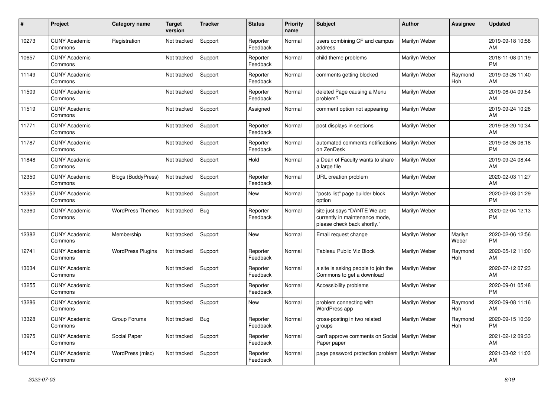| #     | <b>Project</b>                  | <b>Category name</b>      | <b>Target</b><br>version | <b>Tracker</b> | <b>Status</b>        | <b>Priority</b><br>name | <b>Subject</b>                                                                                | <b>Author</b> | Assignee         | <b>Updated</b>                |
|-------|---------------------------------|---------------------------|--------------------------|----------------|----------------------|-------------------------|-----------------------------------------------------------------------------------------------|---------------|------------------|-------------------------------|
| 10273 | <b>CUNY Academic</b><br>Commons | Registration              | Not tracked              | Support        | Reporter<br>Feedback | Normal                  | users combining CF and campus<br>address                                                      | Marilyn Weber |                  | 2019-09-18 10:58<br>AM        |
| 10657 | <b>CUNY Academic</b><br>Commons |                           | Not tracked              | Support        | Reporter<br>Feedback | Normal                  | child theme problems                                                                          | Marilyn Weber |                  | 2018-11-08 01:19<br><b>PM</b> |
| 11149 | <b>CUNY Academic</b><br>Commons |                           | Not tracked              | Support        | Reporter<br>Feedback | Normal                  | comments getting blocked                                                                      | Marilyn Weber | Raymond<br>Hoh   | 2019-03-26 11:40<br>AM        |
| 11509 | <b>CUNY Academic</b><br>Commons |                           | Not tracked              | Support        | Reporter<br>Feedback | Normal                  | deleted Page causing a Menu<br>problem?                                                       | Marilyn Weber |                  | 2019-06-04 09:54<br><b>AM</b> |
| 11519 | <b>CUNY Academic</b><br>Commons |                           | Not tracked              | Support        | Assigned             | Normal                  | comment option not appearing                                                                  | Marilyn Weber |                  | 2019-09-24 10:28<br>AM        |
| 11771 | <b>CUNY Academic</b><br>Commons |                           | Not tracked              | Support        | Reporter<br>Feedback | Normal                  | post displays in sections                                                                     | Marilyn Weber |                  | 2019-08-20 10:34<br>AM        |
| 11787 | <b>CUNY Academic</b><br>Commons |                           | Not tracked              | Support        | Reporter<br>Feedback | Normal                  | automated comments notifications<br>on ZenDesk                                                | Marilyn Weber |                  | 2019-08-26 06:18<br><b>PM</b> |
| 11848 | <b>CUNY Academic</b><br>Commons |                           | Not tracked              | Support        | Hold                 | Normal                  | a Dean of Faculty wants to share<br>a large file                                              | Marilyn Weber |                  | 2019-09-24 08:44<br>AM.       |
| 12350 | <b>CUNY Academic</b><br>Commons | <b>Blogs (BuddyPress)</b> | Not tracked              | Support        | Reporter<br>Feedback | Normal                  | URL creation problem                                                                          | Marilyn Weber |                  | 2020-02-03 11:27<br>AM        |
| 12352 | <b>CUNY Academic</b><br>Commons |                           | Not tracked              | Support        | New                  | Normal                  | "posts list" page builder block<br>option                                                     | Marilyn Weber |                  | 2020-02-03 01:29<br><b>PM</b> |
| 12360 | <b>CUNY Academic</b><br>Commons | <b>WordPress Themes</b>   | Not tracked              | Bug            | Reporter<br>Feedback | Normal                  | site just says "DANTE We are<br>currently in maintenance mode,<br>please check back shortly." | Marilyn Weber |                  | 2020-02-04 12:13<br><b>PM</b> |
| 12382 | <b>CUNY Academic</b><br>Commons | Membership                | Not tracked              | Support        | New                  | Normal                  | Email request change                                                                          | Marilyn Weber | Marilyn<br>Weber | 2020-02-06 12:56<br><b>PM</b> |
| 12741 | <b>CUNY Academic</b><br>Commons | <b>WordPress Plugins</b>  | Not tracked              | Support        | Reporter<br>Feedback | Normal                  | Tableau Public Viz Block                                                                      | Marilyn Weber | Raymond<br>Hoh   | 2020-05-12 11:00<br>AM        |
| 13034 | <b>CUNY Academic</b><br>Commons |                           | Not tracked              | Support        | Reporter<br>Feedback | Normal                  | a site is asking people to join the<br>Commons to get a download                              | Marilyn Weber |                  | 2020-07-12 07:23<br>AM        |
| 13255 | <b>CUNY Academic</b><br>Commons |                           | Not tracked              | Support        | Reporter<br>Feedback | Normal                  | Accessibility problems                                                                        | Marilyn Weber |                  | 2020-09-01 05:48<br><b>PM</b> |
| 13286 | <b>CUNY Academic</b><br>Commons |                           | Not tracked              | Support        | <b>New</b>           | Normal                  | problem connecting with<br><b>WordPress app</b>                                               | Marilyn Weber | Raymond<br>Hoh   | 2020-09-08 11:16<br>AM        |
| 13328 | <b>CUNY Academic</b><br>Commons | Group Forums              | Not tracked              | Bug            | Reporter<br>Feedback | Normal                  | cross-posting in two related<br>groups                                                        | Marilyn Weber | Raymond<br>Hoh   | 2020-09-15 10:39<br><b>PM</b> |
| 13975 | <b>CUNY Academic</b><br>Commons | Social Paper              | Not tracked              | Support        | Reporter<br>Feedback | Normal                  | can't approve comments on Social<br>Paper paper                                               | Marilyn Weber |                  | 2021-02-12 09:33<br>AM        |
| 14074 | <b>CUNY Academic</b><br>Commons | WordPress (misc)          | Not tracked              | Support        | Reporter<br>Feedback | Normal                  | page password protection problem                                                              | Marilyn Weber |                  | 2021-03-02 11:03<br>AM        |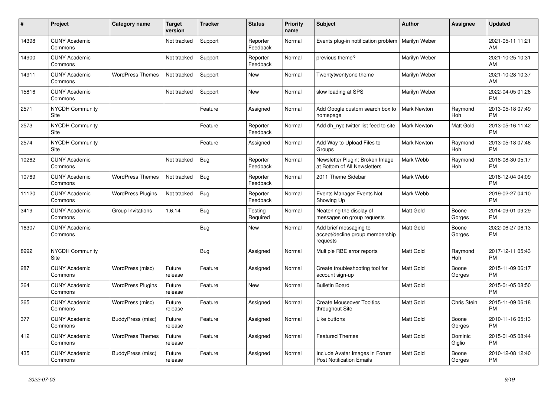| #     | Project                         | <b>Category name</b>     | <b>Target</b><br>version | <b>Tracker</b> | <b>Status</b>        | <b>Priority</b><br>name | <b>Subject</b>                                                        | <b>Author</b>      | <b>Assignee</b>    | <b>Updated</b>                |
|-------|---------------------------------|--------------------------|--------------------------|----------------|----------------------|-------------------------|-----------------------------------------------------------------------|--------------------|--------------------|-------------------------------|
| 14398 | <b>CUNY Academic</b><br>Commons |                          | Not tracked              | Support        | Reporter<br>Feedback | Normal                  | Events plug-in notification problem                                   | Marilyn Weber      |                    | 2021-05-11 11:21<br>AM.       |
| 14900 | <b>CUNY Academic</b><br>Commons |                          | Not tracked              | Support        | Reporter<br>Feedback | Normal                  | previous theme?                                                       | Marilyn Weber      |                    | 2021-10-25 10:31<br>AM        |
| 14911 | <b>CUNY Academic</b><br>Commons | <b>WordPress Themes</b>  | Not tracked              | Support        | New                  | Normal                  | Twentytwentyone theme                                                 | Marilyn Weber      |                    | 2021-10-28 10:37<br><b>AM</b> |
| 15816 | <b>CUNY Academic</b><br>Commons |                          | Not tracked              | Support        | <b>New</b>           | Normal                  | slow loading at SPS                                                   | Marilyn Weber      |                    | 2022-04-05 01:26<br><b>PM</b> |
| 2571  | <b>NYCDH Community</b><br>Site  |                          |                          | Feature        | Assigned             | Normal                  | Add Google custom search box to<br>homepage                           | Mark Newton        | Raymond<br>Hoh     | 2013-05-18 07:49<br><b>PM</b> |
| 2573  | <b>NYCDH Community</b><br>Site  |                          |                          | Feature        | Reporter<br>Feedback | Normal                  | Add dh_nyc twitter list feed to site                                  | <b>Mark Newton</b> | Matt Gold          | 2013-05-16 11:42<br><b>PM</b> |
| 2574  | <b>NYCDH Community</b><br>Site  |                          |                          | Feature        | Assigned             | Normal                  | Add Way to Upload Files to<br>Groups                                  | <b>Mark Newton</b> | Raymond<br>Hoh     | 2013-05-18 07:46<br><b>PM</b> |
| 10262 | <b>CUNY Academic</b><br>Commons |                          | Not tracked              | Bug            | Reporter<br>Feedback | Normal                  | Newsletter Plugin: Broken Image<br>at Bottom of All Newsletters       | Mark Webb          | Raymond<br>Hoh     | 2018-08-30 05:17<br><b>PM</b> |
| 10769 | <b>CUNY Academic</b><br>Commons | <b>WordPress Themes</b>  | Not tracked              | Bug            | Reporter<br>Feedback | Normal                  | 2011 Theme Sidebar                                                    | Mark Webb          |                    | 2018-12-04 04:09<br><b>PM</b> |
| 11120 | <b>CUNY Academic</b><br>Commons | <b>WordPress Plugins</b> | Not tracked              | Bug            | Reporter<br>Feedback | Normal                  | Events Manager Events Not<br>Showing Up                               | Mark Webb          |                    | 2019-02-27 04:10<br><b>PM</b> |
| 3419  | <b>CUNY Academic</b><br>Commons | Group Invitations        | 1.6.14                   | <b>Bug</b>     | Testing<br>Required  | Normal                  | Neatening the display of<br>messages on group requests                | <b>Matt Gold</b>   | Boone<br>Gorges    | 2014-09-01 09:29<br><b>PM</b> |
| 16307 | <b>CUNY Academic</b><br>Commons |                          |                          | <b>Bug</b>     | New                  | Normal                  | Add brief messaging to<br>accept/decline group membership<br>requests | Matt Gold          | Boone<br>Gorges    | 2022-06-27 06:13<br>PM.       |
| 8992  | <b>NYCDH Community</b><br>Site  |                          |                          | <b>Bug</b>     | Assigned             | Normal                  | Multiple RBE error reports                                            | Matt Gold          | Raymond<br>Hoh     | 2017-12-11 05:43<br><b>PM</b> |
| 287   | <b>CUNY Academic</b><br>Commons | WordPress (misc)         | Future<br>release        | Feature        | Assigned             | Normal                  | Create troubleshooting tool for<br>account sign-up                    | Matt Gold          | Boone<br>Gorges    | 2015-11-09 06:17<br><b>PM</b> |
| 364   | <b>CUNY Academic</b><br>Commons | <b>WordPress Plugins</b> | Future<br>release        | Feature        | New                  | Normal                  | <b>Bulletin Board</b>                                                 | Matt Gold          |                    | 2015-01-05 08:50<br><b>PM</b> |
| 365   | <b>CUNY Academic</b><br>Commons | WordPress (misc)         | Future<br>release        | Feature        | Assigned             | Normal                  | <b>Create Mouseover Tooltips</b><br>throughout Site                   | <b>Matt Gold</b>   | <b>Chris Stein</b> | 2015-11-09 06:18<br><b>PM</b> |
| 377   | <b>CUNY Academic</b><br>Commons | BuddyPress (misc)        | Future<br>release        | Feature        | Assigned             | Normal                  | Like buttons                                                          | <b>Matt Gold</b>   | Boone<br>Gorges    | 2010-11-16 05:13<br><b>PM</b> |
| 412   | <b>CUNY Academic</b><br>Commons | <b>WordPress Themes</b>  | Future<br>release        | Feature        | Assigned             | Normal                  | <b>Featured Themes</b>                                                | Matt Gold          | Dominic<br>Giglio  | 2015-01-05 08:44<br><b>PM</b> |
| 435   | <b>CUNY Academic</b><br>Commons | BuddyPress (misc)        | Future<br>release        | Feature        | Assigned             | Normal                  | Include Avatar Images in Forum<br><b>Post Notification Emails</b>     | <b>Matt Gold</b>   | Boone<br>Gorges    | 2010-12-08 12:40<br><b>PM</b> |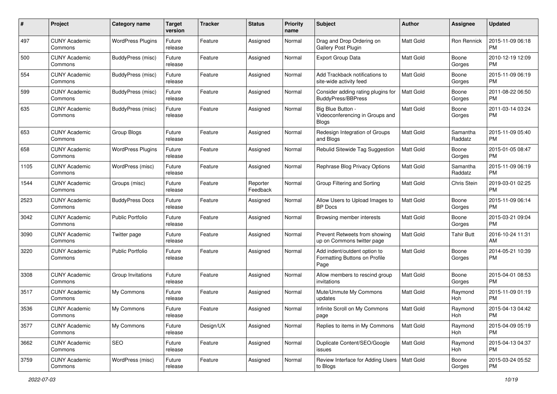| #    | Project                         | <b>Category name</b>     | <b>Target</b><br>version | <b>Tracker</b> | <b>Status</b>        | <b>Priority</b><br>name | <b>Subject</b>                                                        | <b>Author</b>    | <b>Assignee</b>     | <b>Updated</b>                |
|------|---------------------------------|--------------------------|--------------------------|----------------|----------------------|-------------------------|-----------------------------------------------------------------------|------------------|---------------------|-------------------------------|
| 497  | <b>CUNY Academic</b><br>Commons | <b>WordPress Plugins</b> | Future<br>release        | Feature        | Assigned             | Normal                  | Drag and Drop Ordering on<br>Gallery Post Plugin                      | <b>Matt Gold</b> | Ron Rennick         | 2015-11-09 06:18<br><b>PM</b> |
| 500  | <b>CUNY Academic</b><br>Commons | BuddyPress (misc)        | Future<br>release        | Feature        | Assigned             | Normal                  | <b>Export Group Data</b>                                              | Matt Gold        | Boone<br>Gorges     | 2010-12-19 12:09<br><b>PM</b> |
| 554  | <b>CUNY Academic</b><br>Commons | BuddyPress (misc)        | Future<br>release        | Feature        | Assigned             | Normal                  | Add Trackback notifications to<br>site-wide activity feed             | <b>Matt Gold</b> | Boone<br>Gorges     | 2015-11-09 06:19<br><b>PM</b> |
| 599  | <b>CUNY Academic</b><br>Commons | BuddyPress (misc)        | Future<br>release        | Feature        | Assigned             | Normal                  | Consider adding rating plugins for<br><b>BuddvPress/BBPress</b>       | <b>Matt Gold</b> | Boone<br>Gorges     | 2011-08-22 06:50<br>PM.       |
| 635  | <b>CUNY Academic</b><br>Commons | BuddyPress (misc)        | Future<br>release        | Feature        | Assigned             | Normal                  | Big Blue Button -<br>Videoconferencing in Groups and<br>Blogs         | <b>Matt Gold</b> | Boone<br>Gorges     | 2011-03-14 03:24<br><b>PM</b> |
| 653  | <b>CUNY Academic</b><br>Commons | Group Blogs              | Future<br>release        | Feature        | Assigned             | Normal                  | Redesign Integration of Groups<br>and Blogs                           | <b>Matt Gold</b> | Samantha<br>Raddatz | 2015-11-09 05:40<br><b>PM</b> |
| 658  | <b>CUNY Academic</b><br>Commons | <b>WordPress Plugins</b> | Future<br>release        | Feature        | Assigned             | Normal                  | Rebulid Sitewide Tag Suggestion                                       | <b>Matt Gold</b> | Boone<br>Gorges     | 2015-01-05 08:47<br><b>PM</b> |
| 1105 | <b>CUNY Academic</b><br>Commons | WordPress (misc)         | Future<br>release        | Feature        | Assigned             | Normal                  | Rephrase Blog Privacy Options                                         | Matt Gold        | Samantha<br>Raddatz | 2015-11-09 06:19<br><b>PM</b> |
| 1544 | <b>CUNY Academic</b><br>Commons | Groups (misc)            | Future<br>release        | Feature        | Reporter<br>Feedback | Normal                  | Group Filtering and Sorting                                           | <b>Matt Gold</b> | Chris Stein         | 2019-03-01 02:25<br><b>PM</b> |
| 2523 | <b>CUNY Academic</b><br>Commons | <b>BuddyPress Docs</b>   | Future<br>release        | Feature        | Assigned             | Normal                  | Allow Users to Upload Images to<br><b>BP</b> Docs                     | <b>Matt Gold</b> | Boone<br>Gorges     | 2015-11-09 06:14<br><b>PM</b> |
| 3042 | <b>CUNY Academic</b><br>Commons | <b>Public Portfolio</b>  | Future<br>release        | Feature        | Assigned             | Normal                  | Browsing member interests                                             | Matt Gold        | Boone<br>Gorges     | 2015-03-21 09:04<br><b>PM</b> |
| 3090 | <b>CUNY Academic</b><br>Commons | Twitter page             | Future<br>release        | Feature        | Assigned             | Normal                  | Prevent Retweets from showing<br>up on Commons twitter page           | Matt Gold        | <b>Tahir Butt</b>   | 2016-10-24 11:31<br>AM.       |
| 3220 | <b>CUNY Academic</b><br>Commons | <b>Public Portfolio</b>  | Future<br>release        | Feature        | Assigned             | Normal                  | Add indent/outdent option to<br>Formatting Buttons on Profile<br>Page | <b>Matt Gold</b> | Boone<br>Gorges     | 2014-05-21 10:39<br><b>PM</b> |
| 3308 | <b>CUNY Academic</b><br>Commons | Group Invitations        | Future<br>release        | Feature        | Assigned             | Normal                  | Allow members to rescind group<br>invitations                         | <b>Matt Gold</b> | Boone<br>Gorges     | 2015-04-01 08:53<br><b>PM</b> |
| 3517 | <b>CUNY Academic</b><br>Commons | My Commons               | Future<br>release        | Feature        | Assigned             | Normal                  | Mute/Unmute My Commons<br>updates                                     | Matt Gold        | Raymond<br>Hoh      | 2015-11-09 01:19<br><b>PM</b> |
| 3536 | <b>CUNY Academic</b><br>Commons | My Commons               | Future<br>release        | Feature        | Assigned             | Normal                  | Infinite Scroll on My Commons<br>page                                 | Matt Gold        | Raymond<br>Hoh      | 2015-04-13 04:42<br><b>PM</b> |
| 3577 | <b>CUNY Academic</b><br>Commons | My Commons               | Future<br>release        | Design/UX      | Assigned             | Normal                  | Replies to items in My Commons                                        | Matt Gold        | Raymond<br>Hoh      | 2015-04-09 05:19<br>PM.       |
| 3662 | <b>CUNY Academic</b><br>Commons | SEO                      | Future<br>release        | Feature        | Assigned             | Normal                  | Duplicate Content/SEO/Google<br>issues                                | Matt Gold        | Raymond<br>Hoh      | 2015-04-13 04:37<br><b>PM</b> |
| 3759 | <b>CUNY Academic</b><br>Commons | WordPress (misc)         | Future<br>release        | Feature        | Assigned             | Normal                  | Review Interface for Adding Users   Matt Gold<br>to Blogs             |                  | Boone<br>Gorges     | 2015-03-24 05:52<br><b>PM</b> |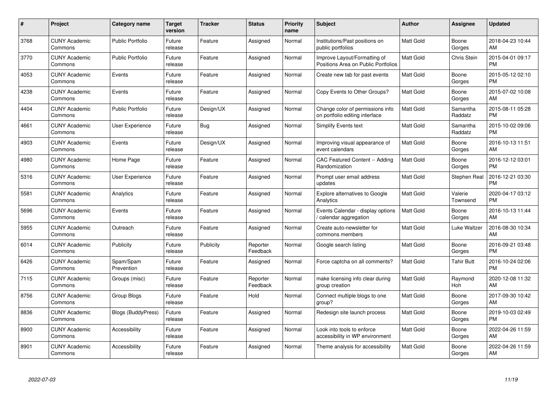| #    | Project                         | <b>Category name</b>      | Target<br>version | <b>Tracker</b> | <b>Status</b>        | Priority<br>name | <b>Subject</b>                                                      | <b>Author</b>    | <b>Assignee</b>     | <b>Updated</b>                |
|------|---------------------------------|---------------------------|-------------------|----------------|----------------------|------------------|---------------------------------------------------------------------|------------------|---------------------|-------------------------------|
| 3768 | <b>CUNY Academic</b><br>Commons | <b>Public Portfolio</b>   | Future<br>release | Feature        | Assigned             | Normal           | Institutions/Past positions on<br>public portfolios                 | <b>Matt Gold</b> | Boone<br>Gorges     | 2018-04-23 10:44<br>AM.       |
| 3770 | <b>CUNY Academic</b><br>Commons | <b>Public Portfolio</b>   | Future<br>release | Feature        | Assigned             | Normal           | Improve Layout/Formatting of<br>Positions Area on Public Portfolios | <b>Matt Gold</b> | <b>Chris Stein</b>  | 2015-04-01 09:17<br><b>PM</b> |
| 4053 | <b>CUNY Academic</b><br>Commons | Events                    | Future<br>release | Feature        | Assigned             | Normal           | Create new tab for past events                                      | <b>Matt Gold</b> | Boone<br>Gorges     | 2015-05-12 02:10<br><b>PM</b> |
| 4238 | <b>CUNY Academic</b><br>Commons | Events                    | Future<br>release | Feature        | Assigned             | Normal           | Copy Events to Other Groups?                                        | <b>Matt Gold</b> | Boone<br>Gorges     | 2015-07-02 10:08<br>AM        |
| 4404 | <b>CUNY Academic</b><br>Commons | <b>Public Portfolio</b>   | Future<br>release | Design/UX      | Assigned             | Normal           | Change color of permissions info<br>on portfolio editing interface  | <b>Matt Gold</b> | Samantha<br>Raddatz | 2015-08-11 05:28<br><b>PM</b> |
| 4661 | <b>CUNY Academic</b><br>Commons | <b>User Experience</b>    | Future<br>release | Bug            | Assigned             | Normal           | <b>Simplify Events text</b>                                         | Matt Gold        | Samantha<br>Raddatz | 2015-10-02 09:06<br><b>PM</b> |
| 4903 | <b>CUNY Academic</b><br>Commons | Events                    | Future<br>release | Design/UX      | Assigned             | Normal           | Improving visual appearance of<br>event calendars                   | Matt Gold        | Boone<br>Gorges     | 2016-10-13 11:51<br>AM        |
| 4980 | <b>CUNY Academic</b><br>Commons | Home Page                 | Future<br>release | Feature        | Assigned             | Normal           | <b>CAC Featured Content -- Adding</b><br>Randomization              | Matt Gold        | Boone<br>Gorges     | 2016-12-12 03:01<br><b>PM</b> |
| 5316 | <b>CUNY Academic</b><br>Commons | User Experience           | Future<br>release | Feature        | Assigned             | Normal           | Prompt user email address<br>updates                                | Matt Gold        | Stephen Real        | 2016-12-21 03:30<br><b>PM</b> |
| 5581 | <b>CUNY Academic</b><br>Commons | Analytics                 | Future<br>release | Feature        | Assigned             | Normal           | <b>Explore alternatives to Google</b><br>Analytics                  | <b>Matt Gold</b> | Valerie<br>Townsend | 2020-04-17 03:12<br><b>PM</b> |
| 5696 | <b>CUNY Academic</b><br>Commons | Events                    | Future<br>release | Feature        | Assigned             | Normal           | Events Calendar - display options<br>calendar aggregation           | Matt Gold        | Boone<br>Gorges     | 2016-10-13 11:44<br>AM        |
| 5955 | <b>CUNY Academic</b><br>Commons | Outreach                  | Future<br>release | Feature        | Assigned             | Normal           | Create auto-newsletter for<br>commons members                       | Matt Gold        | Luke Waltzer        | 2016-08-30 10:34<br><b>AM</b> |
| 6014 | <b>CUNY Academic</b><br>Commons | Publicity                 | Future<br>release | Publicity      | Reporter<br>Feedback | Normal           | Google search listing                                               | Matt Gold        | Boone<br>Gorges     | 2016-09-21 03:48<br>PM.       |
| 6426 | <b>CUNY Academic</b><br>Commons | Spam/Spam<br>Prevention   | Future<br>release | Feature        | Assigned             | Normal           | Force captcha on all comments?                                      | <b>Matt Gold</b> | <b>Tahir Butt</b>   | 2016-10-24 02:06<br><b>PM</b> |
| 7115 | <b>CUNY Academic</b><br>Commons | Groups (misc)             | Future<br>release | Feature        | Reporter<br>Feedback | Normal           | make licensing info clear during<br>group creation                  | <b>Matt Gold</b> | Raymond<br>Hoh      | 2020-12-08 11:32<br>AM        |
| 8756 | <b>CUNY Academic</b><br>Commons | Group Blogs               | Future<br>release | Feature        | Hold                 | Normal           | Connect multiple blogs to one<br>group?                             | <b>Matt Gold</b> | Boone<br>Gorges     | 2017-09-30 10:42<br><b>AM</b> |
| 8836 | <b>CUNY Academic</b><br>Commons | <b>Blogs (BuddyPress)</b> | Future<br>release | Feature        | Assigned             | Normal           | Redesign site launch process                                        | <b>Matt Gold</b> | Boone<br>Gorges     | 2019-10-03 02:49<br><b>PM</b> |
| 8900 | <b>CUNY Academic</b><br>Commons | Accessibility             | Future<br>release | Feature        | Assigned             | Normal           | Look into tools to enforce<br>accessibility in WP environment       | Matt Gold        | Boone<br>Gorges     | 2022-04-26 11:59<br>AM.       |
| 8901 | <b>CUNY Academic</b><br>Commons | Accessibility             | Future<br>release | Feature        | Assigned             | Normal           | Theme analysis for accessibility                                    | <b>Matt Gold</b> | Boone<br>Gorges     | 2022-04-26 11:59<br>AM        |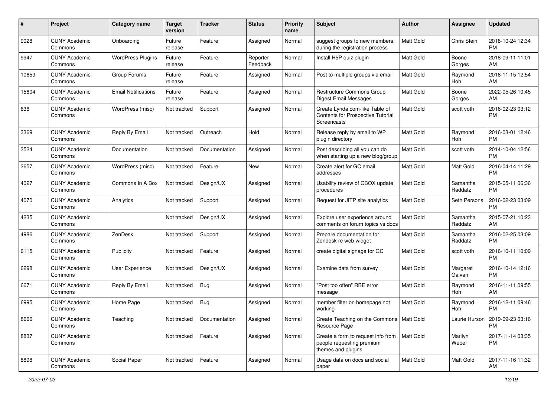| #     | Project                         | <b>Category name</b>       | <b>Target</b><br>version | <b>Tracker</b> | <b>Status</b>        | <b>Priority</b><br>name | <b>Subject</b>                                                                            | Author           | <b>Assignee</b>     | <b>Updated</b>                                |
|-------|---------------------------------|----------------------------|--------------------------|----------------|----------------------|-------------------------|-------------------------------------------------------------------------------------------|------------------|---------------------|-----------------------------------------------|
| 9028  | <b>CUNY Academic</b><br>Commons | Onboarding                 | Future<br>release        | Feature        | Assigned             | Normal                  | suggest groups to new members<br>during the registration process                          | <b>Matt Gold</b> | Chris Stein         | 2018-10-24 12:34<br><b>PM</b>                 |
| 9947  | <b>CUNY Academic</b><br>Commons | <b>WordPress Plugins</b>   | Future<br>release        | Feature        | Reporter<br>Feedback | Normal                  | Install H5P quiz plugin                                                                   | <b>Matt Gold</b> | Boone<br>Gorges     | 2018-09-11 11:01<br>AM                        |
| 10659 | <b>CUNY Academic</b><br>Commons | Group Forums               | Future<br>release        | Feature        | Assigned             | Normal                  | Post to multiple groups via email                                                         | <b>Matt Gold</b> | Raymond<br>Hoh      | 2018-11-15 12:54<br>AM                        |
| 15604 | <b>CUNY Academic</b><br>Commons | <b>Email Notifications</b> | Future<br>release        | Feature        | Assigned             | Normal                  | Restructure Commons Group<br>Digest Email Messages                                        | <b>Matt Gold</b> | Boone<br>Gorges     | 2022-05-26 10:45<br>AM                        |
| 636   | <b>CUNY Academic</b><br>Commons | WordPress (misc)           | Not tracked              | Support        | Assigned             | Normal                  | Create Lynda.com-like Table of<br><b>Contents for Prospective Tutorial</b><br>Screencasts | <b>Matt Gold</b> | scott voth          | 2016-02-23 03:12<br><b>PM</b>                 |
| 3369  | <b>CUNY Academic</b><br>Commons | Reply By Email             | Not tracked              | Outreach       | Hold                 | Normal                  | Release reply by email to WP<br>plugin directory                                          | <b>Matt Gold</b> | Raymond<br>Hoh      | 2016-03-01 12:46<br><b>PM</b>                 |
| 3524  | <b>CUNY Academic</b><br>Commons | Documentation              | Not tracked              | Documentation  | Assigned             | Normal                  | Post describing all you can do<br>when starting up a new blog/group                       | <b>Matt Gold</b> | scott voth          | 2014-10-04 12:56<br><b>PM</b>                 |
| 3657  | <b>CUNY Academic</b><br>Commons | WordPress (misc)           | Not tracked              | Feature        | New                  | Normal                  | Create alert for GC email<br>addresses                                                    | <b>Matt Gold</b> | Matt Gold           | 2016-04-14 11:29<br><b>PM</b>                 |
| 4027  | <b>CUNY Academic</b><br>Commons | Commons In A Box           | Not tracked              | Design/UX      | Assigned             | Normal                  | Usability review of CBOX update<br>procedures                                             | <b>Matt Gold</b> | Samantha<br>Raddatz | 2015-05-11 06:36<br><b>PM</b>                 |
| 4070  | <b>CUNY Academic</b><br>Commons | Analytics                  | Not tracked              | Support        | Assigned             | Normal                  | Request for JITP site analytics                                                           | Matt Gold        | Seth Persons        | 2016-02-23 03:09<br><b>PM</b>                 |
| 4235  | <b>CUNY Academic</b><br>Commons |                            | Not tracked              | Design/UX      | Assigned             | Normal                  | Explore user experience around<br>comments on forum topics vs docs                        | Matt Gold        | Samantha<br>Raddatz | 2015-07-21 10:23<br>AM                        |
| 4986  | <b>CUNY Academic</b><br>Commons | ZenDesk                    | Not tracked              | Support        | Assigned             | Normal                  | Prepare documentation for<br>Zendesk re web widget                                        | <b>Matt Gold</b> | Samantha<br>Raddatz | 2016-02-25 03:09<br><b>PM</b>                 |
| 6115  | <b>CUNY Academic</b><br>Commons | Publicity                  | Not tracked              | Feature        | Assigned             | Normal                  | create digital signage for GC                                                             | <b>Matt Gold</b> | scott voth          | 2016-10-11 10:09<br><b>PM</b>                 |
| 6298  | <b>CUNY Academic</b><br>Commons | User Experience            | Not tracked              | Design/UX      | Assigned             | Normal                  | Examine data from survey                                                                  | <b>Matt Gold</b> | Margaret<br>Galvan  | 2016-10-14 12:16<br><b>PM</b>                 |
| 6671  | <b>CUNY Academic</b><br>Commons | Reply By Email             | Not tracked              | Bug            | Assigned             | Normal                  | "Post too often" RBE error<br>message                                                     | <b>Matt Gold</b> | Raymond<br>Hoh      | 2016-11-11 09:55<br>AM                        |
| 6995  | <b>CUNY Academic</b><br>Commons | Home Page                  | Not tracked              | <b>Bug</b>     | Assigned             | Normal                  | member filter on homepage not<br>working                                                  | <b>Matt Gold</b> | Raymond<br>Hoh      | 2016-12-11 09:46<br><b>PM</b>                 |
| 8666  | <b>CUNY Academic</b><br>Commons | Teaching                   | Not tracked              | Documentation  | Assigned             | Normal                  | Create Teaching on the Commons   Matt Gold<br>Resource Page                               |                  |                     | Laurie Hurson   2019-09-23 03:16<br><b>PM</b> |
| 8837  | <b>CUNY Academic</b><br>Commons |                            | Not tracked              | Feature        | Assigned             | Normal                  | Create a form to request info from<br>people requesting premium<br>themes and plugins     | Matt Gold        | Marilyn<br>Weber    | 2017-11-14 03:35<br><b>PM</b>                 |
| 8898  | <b>CUNY Academic</b><br>Commons | Social Paper               | Not tracked              | Feature        | Assigned             | Normal                  | Usage data on docs and social<br>paper                                                    | Matt Gold        | Matt Gold           | 2017-11-16 11:32<br>AM                        |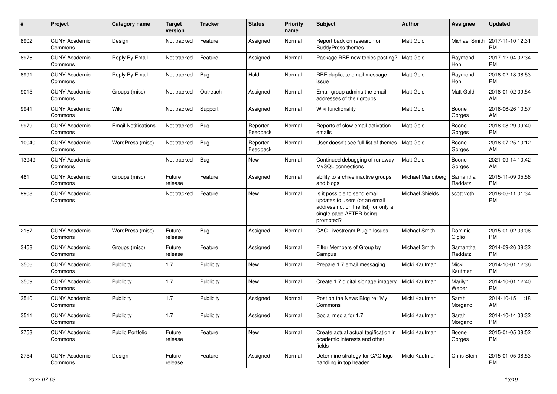| #              | Project                         | <b>Category name</b>       | <b>Target</b><br>version | <b>Tracker</b> | <b>Status</b>        | Priority<br>name | Subject                                                                                                                                      | Author                 | Assignee            | <b>Updated</b>                |
|----------------|---------------------------------|----------------------------|--------------------------|----------------|----------------------|------------------|----------------------------------------------------------------------------------------------------------------------------------------------|------------------------|---------------------|-------------------------------|
| 8902           | <b>CUNY Academic</b><br>Commons | Design                     | Not tracked              | Feature        | Assigned             | Normal           | Report back on research on<br><b>BuddyPress themes</b>                                                                                       | <b>Matt Gold</b>       | Michael Smith       | 2017-11-10 12:31<br><b>PM</b> |
| 8976           | <b>CUNY Academic</b><br>Commons | Reply By Email             | Not tracked              | Feature        | Assigned             | Normal           | Package RBE new topics posting?                                                                                                              | Matt Gold              | Raymond<br>Hoh      | 2017-12-04 02:34<br><b>PM</b> |
| 8991           | <b>CUNY Academic</b><br>Commons | Reply By Email             | Not tracked              | <b>Bug</b>     | Hold                 | Normal           | RBE duplicate email message<br>issue                                                                                                         | Matt Gold              | Raymond<br>Hoh      | 2018-02-18 08:53<br><b>PM</b> |
| 9015           | <b>CUNY Academic</b><br>Commons | Groups (misc)              | Not tracked              | Outreach       | Assigned             | Normal           | Email group admins the email<br>addresses of their groups                                                                                    | Matt Gold              | Matt Gold           | 2018-01-02 09:54<br>AM        |
| 9941           | <b>CUNY Academic</b><br>Commons | Wiki                       | Not tracked              | Support        | Assigned             | Normal           | Wiki functionality                                                                                                                           | <b>Matt Gold</b>       | Boone<br>Gorges     | 2018-06-26 10:57<br>AM        |
| 9979           | <b>CUNY Academic</b><br>Commons | <b>Email Notifications</b> | Not tracked              | Bug            | Reporter<br>Feedback | Normal           | Reports of slow email activation<br>emails                                                                                                   | <b>Matt Gold</b>       | Boone<br>Gorges     | 2018-08-29 09:40<br><b>PM</b> |
| 10040          | <b>CUNY Academic</b><br>Commons | WordPress (misc)           | Not tracked              | Bug            | Reporter<br>Feedback | Normal           | User doesn't see full list of themes                                                                                                         | <b>Matt Gold</b>       | Boone<br>Gorges     | 2018-07-25 10:12<br>AM        |
| 13949          | <b>CUNY Academic</b><br>Commons |                            | Not tracked              | Bug            | <b>New</b>           | Normal           | Continued debugging of runaway<br>MySQL connections                                                                                          | <b>Matt Gold</b>       | Boone<br>Gorges     | 2021-09-14 10:42<br>AM        |
| 481            | <b>CUNY Academic</b><br>Commons | Groups (misc)              | Future<br>release        | Feature        | Assigned             | Normal           | ability to archive inactive groups<br>and blogs                                                                                              | Michael Mandiberg      | Samantha<br>Raddatz | 2015-11-09 05:56<br><b>PM</b> |
| 9908           | <b>CUNY Academic</b><br>Commons |                            | Not tracked              | Feature        | <b>New</b>           | Normal           | Is it possible to send email<br>updates to users (or an email<br>address not on the list) for only a<br>single page AFTER being<br>prompted? | <b>Michael Shields</b> | scott voth          | 2018-06-11 01:34<br><b>PM</b> |
| 2167           | <b>CUNY Academic</b><br>Commons | WordPress (misc)           | Future<br>release        | Bug            | Assigned             | Normal           | CAC-Livestream Plugin Issues                                                                                                                 | Michael Smith          | Dominic<br>Giglio   | 2015-01-02 03:06<br><b>PM</b> |
| 3458           | <b>CUNY Academic</b><br>Commons | Groups (misc)              | Future<br>release        | Feature        | Assigned             | Normal           | Filter Members of Group by<br>Campus                                                                                                         | Michael Smith          | Samantha<br>Raddatz | 2014-09-26 08:32<br><b>PM</b> |
| 3506           | <b>CUNY Academic</b><br>Commons | Publicity                  | 1.7                      | Publicity      | New                  | Normal           | Prepare 1.7 email messaging                                                                                                                  | Micki Kaufman          | Micki<br>Kaufman    | 2014-10-01 12:36<br><b>PM</b> |
| 3509           | <b>CUNY Academic</b><br>Commons | Publicity                  | 1.7                      | Publicity      | <b>New</b>           | Normal           | Create 1.7 digital signage imagery                                                                                                           | Micki Kaufman          | Marilyn<br>Weber    | 2014-10-01 12:40<br><b>PM</b> |
| 3510           | <b>CUNY Academic</b><br>Commons | Publicity                  | 1.7                      | Publicity      | Assigned             | Normal           | Post on the News Blog re: 'My<br>Commons'                                                                                                    | Micki Kaufman          | Sarah<br>Morgano    | 2014-10-15 11:18<br>AM        |
| 3511           | <b>CUNY Academic</b><br>Commons | Publicity                  | 1.7                      | Publicity      | Assigned             | Normal           | Social media for 1.7                                                                                                                         | Micki Kaufman          | Sarah<br>Morgano    | 2014-10-14 03:32<br><b>PM</b> |
| 2753           | <b>CUNY Academic</b><br>Commons | <b>Public Portfolio</b>    | Future<br>release        | Feature        | New                  | Normal           | Create actual actual tagification in<br>academic interests and other<br>fields                                                               | Micki Kaufman          | Boone<br>Gorges     | 2015-01-05 08:52<br>PM.       |
| $ 2754\rangle$ | <b>CUNY Academic</b><br>Commons | Design                     | Future<br>release        | Feature        | Assigned             | Normal           | Determine strategy for CAC logo<br>handling in top header                                                                                    | Micki Kaufman          | Chris Stein         | 2015-01-05 08:53<br><b>PM</b> |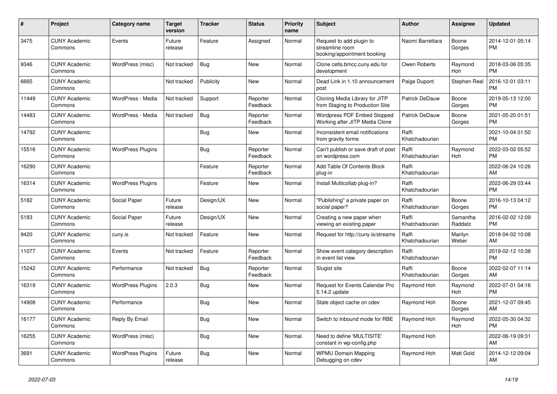| #     | Project                         | <b>Category name</b>     | <b>Target</b><br>version | <b>Tracker</b> | <b>Status</b>        | <b>Priority</b><br>name | <b>Subject</b>                                                             | <b>Author</b>           | <b>Assignee</b>     | <b>Updated</b>                |
|-------|---------------------------------|--------------------------|--------------------------|----------------|----------------------|-------------------------|----------------------------------------------------------------------------|-------------------------|---------------------|-------------------------------|
| 3475  | <b>CUNY Academic</b><br>Commons | Events                   | Future<br>release        | Feature        | Assigned             | Normal                  | Request to add plugin to<br>streamline room<br>booking/appointment booking | Naomi Barrettara        | Boone<br>Gorges     | 2014-12-01 05:14<br><b>PM</b> |
| 9346  | <b>CUNY Academic</b><br>Commons | WordPress (misc)         | Not tracked              | Bug            | New                  | Normal                  | Clone cetls.bmcc.cuny.edu for<br>development                               | Owen Roberts            | Raymond<br>Hoh      | 2018-03-06 05:35<br><b>PM</b> |
| 6665  | <b>CUNY Academic</b><br>Commons |                          | Not tracked              | Publicity      | New                  | Normal                  | Dead Link in 1.10 announcement<br>post                                     | Paige Dupont            | Stephen Real        | 2016-12-01 03:11<br><b>PM</b> |
| 11449 | <b>CUNY Academic</b><br>Commons | WordPress - Media        | Not tracked              | Support        | Reporter<br>Feedback | Normal                  | Cloning Media Library for JITP<br>from Staging to Production Site          | Patrick DeDauw          | Boone<br>Gorges     | 2019-05-13 12:00<br><b>PM</b> |
| 14483 | <b>CUNY Academic</b><br>Commons | WordPress - Media        | Not tracked              | Bug            | Reporter<br>Feedback | Normal                  | Wordpress PDF Embed Stopped<br>Working after JITP Media Clone              | <b>Patrick DeDauw</b>   | Boone<br>Gorges     | 2021-05-20 01:51<br><b>PM</b> |
| 14792 | <b>CUNY Academic</b><br>Commons |                          |                          | Bug            | <b>New</b>           | Normal                  | Inconsistent email notifications<br>from gravity forms                     | Raffi<br>Khatchadourian |                     | 2021-10-04 01:50<br><b>PM</b> |
| 15516 | <b>CUNY Academic</b><br>Commons | <b>WordPress Plugins</b> |                          | Bug            | Reporter<br>Feedback | Normal                  | Can't publish or save draft of post<br>on wordpress.com                    | Raffi<br>Khatchadourian | Raymond<br>Hoh      | 2022-03-02 05:52<br><b>PM</b> |
| 16290 | <b>CUNY Academic</b><br>Commons |                          |                          | Feature        | Reporter<br>Feedback | Normal                  | Add Table Of Contents Block<br>plug-in                                     | Raffi<br>Khatchadourian |                     | 2022-06-24 10:26<br>AM        |
| 16314 | <b>CUNY Academic</b><br>Commons | <b>WordPress Plugins</b> |                          | Feature        | New                  | Normal                  | Install Multicollab plug-in?                                               | Raffi<br>Khatchadourian |                     | 2022-06-29 03:44<br><b>PM</b> |
| 5182  | <b>CUNY Academic</b><br>Commons | Social Paper             | Future<br>release        | Design/UX      | New                  | Normal                  | "Publishing" a private paper on<br>social paper?                           | Raffi<br>Khatchadourian | Boone<br>Gorges     | 2016-10-13 04:12<br><b>PM</b> |
| 5183  | <b>CUNY Academic</b><br>Commons | Social Paper             | Future<br>release        | Design/UX      | New                  | Normal                  | Creating a new paper when<br>viewing an existing paper                     | Raffi<br>Khatchadourian | Samantha<br>Raddatz | 2016-02-02 12:09<br><b>PM</b> |
| 9420  | <b>CUNY Academic</b><br>Commons | cuny.is                  | Not tracked              | Feature        | <b>New</b>           | Normal                  | Request for http://cuny.is/streams                                         | Raffi<br>Khatchadourian | Marilyn<br>Weber    | 2018-04-02 10:08<br>AM        |
| 11077 | <b>CUNY Academic</b><br>Commons | Events                   | Not tracked              | Feature        | Reporter<br>Feedback | Normal                  | Show event category description<br>in event list view                      | Raffi<br>Khatchadourian |                     | 2019-02-12 10:38<br><b>PM</b> |
| 15242 | <b>CUNY Academic</b><br>Commons | Performance              | Not tracked              | Bug            | Reporter<br>Feedback | Normal                  | Slugist site                                                               | Raffi<br>Khatchadourian | Boone<br>Gorges     | 2022-02-07 11:14<br>AM        |
| 16319 | <b>CUNY Academic</b><br>Commons | <b>WordPress Plugins</b> | 2.0.3                    | Bug            | New                  | Normal                  | Request for Events Calendar Pro<br>5.14.2 update                           | Raymond Hoh             | Raymond<br>Hoh      | 2022-07-01 04:16<br><b>PM</b> |
| 14908 | <b>CUNY Academic</b><br>Commons | Performance              |                          | Bug            | <b>New</b>           | Normal                  | Stale object cache on cdev                                                 | Raymond Hoh             | Boone<br>Gorges     | 2021-12-07 09:45<br>AM        |
| 16177 | <b>CUNY Academic</b><br>Commons | Reply By Email           |                          | Bug            | New                  | Normal                  | Switch to Inbound mode for RBE                                             | Raymond Hoh             | Raymond<br>Hoh      | 2022-05-30 04:32<br><b>PM</b> |
| 16255 | <b>CUNY Academic</b><br>Commons | WordPress (misc)         |                          | Bug            | <b>New</b>           | Normal                  | Need to define 'MULTISITE'<br>constant in wp-config.php                    | Raymond Hoh             |                     | 2022-06-19 09:31<br>AM        |
| 3691  | <b>CUNY Academic</b><br>Commons | <b>WordPress Plugins</b> | Future<br>release        | Bug            | <b>New</b>           | Normal                  | <b>WPMU Domain Mapping</b><br>Debugging on cdev                            | Raymond Hoh             | Matt Gold           | 2014-12-12 09:04<br>AM        |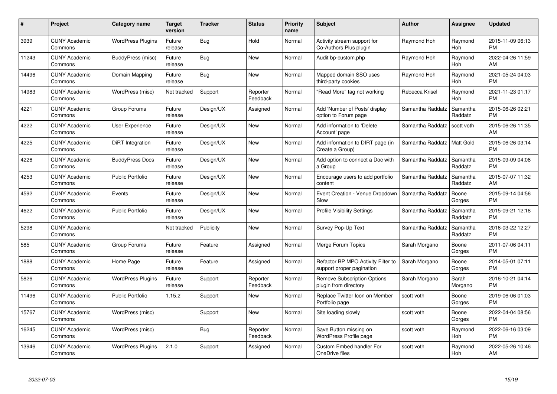| #     | <b>Project</b>                  | Category name            | Target<br>version | <b>Tracker</b> | <b>Status</b>        | <b>Priority</b><br>name | <b>Subject</b>                                                  | <b>Author</b>    | Assignee            | <b>Updated</b>                |
|-------|---------------------------------|--------------------------|-------------------|----------------|----------------------|-------------------------|-----------------------------------------------------------------|------------------|---------------------|-------------------------------|
| 3939  | <b>CUNY Academic</b><br>Commons | <b>WordPress Plugins</b> | Future<br>release | <b>Bug</b>     | Hold                 | Normal                  | Activity stream support for<br>Co-Authors Plus plugin           | Raymond Hoh      | Raymond<br>Hoh      | 2015-11-09 06:13<br><b>PM</b> |
| 11243 | <b>CUNY Academic</b><br>Commons | BuddyPress (misc)        | Future<br>release | Bug            | New                  | Normal                  | Audit bp-custom.php                                             | Raymond Hoh      | Raymond<br>Hoh      | 2022-04-26 11:59<br><b>AM</b> |
| 14496 | <b>CUNY Academic</b><br>Commons | Domain Mapping           | Future<br>release | Bug            | <b>New</b>           | Normal                  | Mapped domain SSO uses<br>third-party cookies                   | Raymond Hoh      | Raymond<br>Hoh      | 2021-05-24 04:03<br><b>PM</b> |
| 14983 | <b>CUNY Academic</b><br>Commons | WordPress (misc)         | Not tracked       | Support        | Reporter<br>Feedback | Normal                  | "Read More" tag not working                                     | Rebecca Krisel   | Raymond<br>Hoh      | 2021-11-23 01:17<br><b>PM</b> |
| 4221  | <b>CUNY Academic</b><br>Commons | Group Forums             | Future<br>release | Design/UX      | Assigned             | Normal                  | Add 'Number of Posts' display<br>option to Forum page           | Samantha Raddatz | Samantha<br>Raddatz | 2015-06-26 02:21<br><b>PM</b> |
| 4222  | <b>CUNY Academic</b><br>Commons | User Experience          | Future<br>release | Design/UX      | <b>New</b>           | Normal                  | Add information to 'Delete<br>Account' page                     | Samantha Raddatz | scott voth          | 2015-06-26 11:35<br>AM        |
| 4225  | <b>CUNY Academic</b><br>Commons | DiRT Integration         | Future<br>release | Design/UX      | <b>New</b>           | Normal                  | Add information to DIRT page (in<br>Create a Group)             | Samantha Raddatz | Matt Gold           | 2015-06-26 03:14<br><b>PM</b> |
| 4226  | <b>CUNY Academic</b><br>Commons | <b>BuddyPress Docs</b>   | Future<br>release | Design/UX      | <b>New</b>           | Normal                  | Add option to connect a Doc with<br>a Group                     | Samantha Raddatz | Samantha<br>Raddatz | 2015-09-09 04:08<br><b>PM</b> |
| 4253  | <b>CUNY Academic</b><br>Commons | <b>Public Portfolio</b>  | Future<br>release | Design/UX      | <b>New</b>           | Normal                  | Encourage users to add portfolio<br>content                     | Samantha Raddatz | Samantha<br>Raddatz | 2015-07-07 11:32<br>AM        |
| 4592  | <b>CUNY Academic</b><br>Commons | Events                   | Future<br>release | Design/UX      | <b>New</b>           | Normal                  | Event Creation - Venue Dropdown<br>Slow                         | Samantha Raddatz | Boone<br>Gorges     | 2015-09-14 04:56<br><b>PM</b> |
| 4622  | <b>CUNY Academic</b><br>Commons | <b>Public Portfolio</b>  | Future<br>release | Design/UX      | <b>New</b>           | Normal                  | <b>Profile Visibility Settings</b>                              | Samantha Raddatz | Samantha<br>Raddatz | 2015-09-21 12:18<br><b>PM</b> |
| 5298  | <b>CUNY Academic</b><br>Commons |                          | Not tracked       | Publicity      | <b>New</b>           | Normal                  | Survey Pop-Up Text                                              | Samantha Raddatz | Samantha<br>Raddatz | 2016-03-22 12:27<br><b>PM</b> |
| 585   | <b>CUNY Academic</b><br>Commons | Group Forums             | Future<br>release | Feature        | Assigned             | Normal                  | Merge Forum Topics                                              | Sarah Morgano    | Boone<br>Gorges     | 2011-07-06 04:11<br><b>PM</b> |
| 1888  | <b>CUNY Academic</b><br>Commons | Home Page                | Future<br>release | Feature        | Assigned             | Normal                  | Refactor BP MPO Activity Filter to<br>support proper pagination | Sarah Morgano    | Boone<br>Gorges     | 2014-05-01 07:11<br>PM.       |
| 5826  | <b>CUNY Academic</b><br>Commons | <b>WordPress Plugins</b> | Future<br>release | Support        | Reporter<br>Feedback | Normal                  | <b>Remove Subscription Options</b><br>plugin from directory     | Sarah Morgano    | Sarah<br>Morgano    | 2016-10-21 04:14<br><b>PM</b> |
| 11496 | <b>CUNY Academic</b><br>Commons | <b>Public Portfolio</b>  | 1.15.2            | Support        | New                  | Normal                  | Replace Twitter Icon on Member<br>Portfolio page                | scott voth       | Boone<br>Gorges     | 2019-06-06 01:03<br><b>PM</b> |
| 15767 | <b>CUNY Academic</b><br>Commons | WordPress (misc)         |                   | Support        | New                  | Normal                  | Site loading slowly                                             | scott voth       | Boone<br>Gorges     | 2022-04-04 08:56<br><b>PM</b> |
| 16245 | <b>CUNY Academic</b><br>Commons | WordPress (misc)         |                   | <b>Bug</b>     | Reporter<br>Feedback | Normal                  | Save Button missing on<br><b>WordPress Profile page</b>         | scott voth       | Raymond<br>Hoh      | 2022-06-16 03:09<br><b>PM</b> |
| 13946 | <b>CUNY Academic</b><br>Commons | <b>WordPress Plugins</b> | 2.1.0             | Support        | Assigned             | Normal                  | <b>Custom Embed handler For</b><br>OneDrive files               | scott voth       | Raymond<br>Hoh      | 2022-05-26 10:46<br>AM        |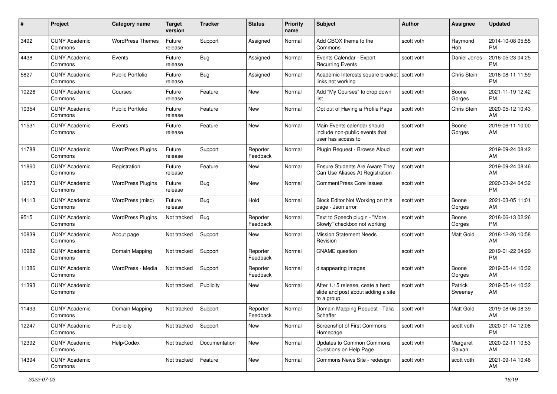| #     | Project                         | <b>Category name</b>     | <b>Target</b><br>version | <b>Tracker</b> | <b>Status</b>        | <b>Priority</b><br>name | Subject                                                                              | Author       | Assignee           | <b>Updated</b>                |
|-------|---------------------------------|--------------------------|--------------------------|----------------|----------------------|-------------------------|--------------------------------------------------------------------------------------|--------------|--------------------|-------------------------------|
| 3492  | <b>CUNY Academic</b><br>Commons | <b>WordPress Themes</b>  | Future<br>release        | Support        | Assigned             | Normal                  | Add CBOX theme to the<br>Commons                                                     | scott voth   | Raymond<br>Hoh     | 2014-10-08 05:55<br><b>PM</b> |
| 4438  | <b>CUNY Academic</b><br>Commons | Events                   | Future<br>release        | Bug            | Assigned             | Normal                  | Events Calendar - Export<br><b>Recurring Events</b>                                  | scott voth   | Daniel Jones       | 2016-05-23 04:25<br><b>PM</b> |
| 5827  | <b>CUNY Academic</b><br>Commons | <b>Public Portfolio</b>  | Future<br>release        | Bug            | Assigned             | Normal                  | Academic Interests square bracket<br>links not working                               | l scott voth | Chris Stein        | 2016-08-11 11:59<br><b>PM</b> |
| 10226 | <b>CUNY Academic</b><br>Commons | Courses                  | Future<br>release        | Feature        | New                  | Normal                  | Add "My Courses" to drop down<br>list                                                | scott voth   | Boone<br>Gorges    | 2021-11-19 12:42<br><b>PM</b> |
| 10354 | <b>CUNY Academic</b><br>Commons | <b>Public Portfolio</b>  | Future<br>release        | Feature        | New                  | Normal                  | Opt out of Having a Profile Page                                                     | scott voth   | Chris Stein        | 2020-05-12 10:43<br>AM        |
| 11531 | <b>CUNY Academic</b><br>Commons | Events                   | Future<br>release        | Feature        | New                  | Normal                  | Main Events calendar should<br>include non-public events that<br>user has access to  | scott voth   | Boone<br>Gorges    | 2019-06-11 10:00<br>AM        |
| 11788 | <b>CUNY Academic</b><br>Commons | <b>WordPress Plugins</b> | Future<br>release        | Support        | Reporter<br>Feedback | Normal                  | Plugin Request - Browse Aloud                                                        | scott voth   |                    | 2019-09-24 08:42<br>AM        |
| 11860 | <b>CUNY Academic</b><br>Commons | Registration             | Future<br>release        | Feature        | New                  | Normal                  | <b>Ensure Students Are Aware They</b><br>Can Use Aliases At Registration             | scott voth   |                    | 2019-09-24 08:46<br>AM        |
| 12573 | <b>CUNY Academic</b><br>Commons | <b>WordPress Plugins</b> | Future<br>release        | Bug            | <b>New</b>           | Normal                  | <b>CommentPress Core Issues</b>                                                      | scott voth   |                    | 2020-03-24 04:32<br><b>PM</b> |
| 14113 | <b>CUNY Academic</b><br>Commons | WordPress (misc)         | Future<br>release        | Bug            | Hold                 | Normal                  | Block Editor Not Working on this<br>page - Json error                                | scott voth   | Boone<br>Gorges    | 2021-03-05 11:01<br>AM        |
| 9515  | <b>CUNY Academic</b><br>Commons | <b>WordPress Plugins</b> | Not tracked              | Bug            | Reporter<br>Feedback | Normal                  | Text to Speech plugin - "More<br>Slowly" checkbox not working                        | scott voth   | Boone<br>Gorges    | 2018-06-13 02:26<br><b>PM</b> |
| 10839 | <b>CUNY Academic</b><br>Commons | About page               | Not tracked              | Support        | New                  | Normal                  | <b>Mission Statement Needs</b><br>Revision                                           | scott voth   | Matt Gold          | 2018-12-26 10:58<br>AM        |
| 10982 | <b>CUNY Academic</b><br>Commons | Domain Mapping           | Not tracked              | Support        | Reporter<br>Feedback | Normal                  | <b>CNAME</b> question                                                                | scott voth   |                    | 2019-01-22 04:29<br><b>PM</b> |
| 11386 | <b>CUNY Academic</b><br>Commons | WordPress - Media        | Not tracked              | Support        | Reporter<br>Feedback | Normal                  | disappearing images                                                                  | scott voth   | Boone<br>Gorges    | 2019-05-14 10:32<br>AM        |
| 11393 | <b>CUNY Academic</b><br>Commons |                          | Not tracked              | Publicity      | New                  | Normal                  | After 1.15 release, ceate a hero<br>slide and post about adding a site<br>to a group | scott voth   | Patrick<br>Sweeney | 2019-05-14 10:32<br>AM        |
| 11493 | <b>CUNY Academic</b><br>Commons | Domain Mapping           | Not tracked              | Support        | Reporter<br>Feedback | Normal                  | Domain Mapping Request - Talia<br>Schaffer                                           | scott voth   | Matt Gold          | 2019-08-06 08:39<br>AM        |
| 12247 | <b>CUNY Academic</b><br>Commons | Publicity                | Not tracked              | Support        | New                  | Normal                  | <b>Screenshot of First Commons</b><br>Homepage                                       | scott voth   | scott voth         | 2020-01-14 12:08<br><b>PM</b> |
| 12392 | <b>CUNY Academic</b><br>Commons | Help/Codex               | Not tracked              | Documentation  | New                  | Normal                  | Updates to Common Commons<br>Questions on Help Page                                  | scott voth   | Margaret<br>Galvan | 2020-02-11 10:53<br>AM        |
| 14394 | <b>CUNY Academic</b><br>Commons |                          | Not tracked              | Feature        | New                  | Normal                  | Commons News Site - redesign                                                         | scott voth   | scott voth         | 2021-09-14 10:46<br>AM        |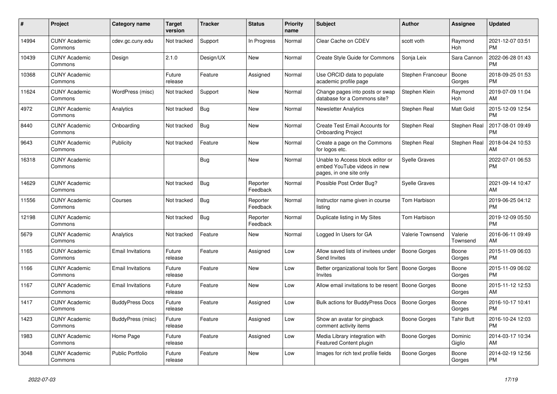| #     | <b>Project</b>                  | Category name            | <b>Target</b><br>version | <b>Tracker</b> | <b>Status</b>        | <b>Priority</b><br>name | <b>Subject</b>                                                                             | <b>Author</b>           | Assignee            | <b>Updated</b>                |
|-------|---------------------------------|--------------------------|--------------------------|----------------|----------------------|-------------------------|--------------------------------------------------------------------------------------------|-------------------------|---------------------|-------------------------------|
| 14994 | <b>CUNY Academic</b><br>Commons | cdev.gc.cuny.edu         | Not tracked              | Support        | In Progress          | Normal                  | Clear Cache on CDEV                                                                        | scott voth              | Raymond<br>Hoh      | 2021-12-07 03:51<br><b>PM</b> |
| 10439 | <b>CUNY Academic</b><br>Commons | Design                   | 2.1.0                    | Design/UX      | New                  | Normal                  | <b>Create Style Guide for Commons</b>                                                      | Sonja Leix              | Sara Cannon         | 2022-06-28 01:43<br><b>PM</b> |
| 10368 | <b>CUNY Academic</b><br>Commons |                          | Future<br>release        | Feature        | Assigned             | Normal                  | Use ORCID data to populate<br>academic profile page                                        | Stephen Francoeur       | Boone<br>Gorges     | 2018-09-25 01:53<br><b>PM</b> |
| 11624 | <b>CUNY Academic</b><br>Commons | WordPress (misc)         | Not tracked              | Support        | <b>New</b>           | Normal                  | Change pages into posts or swap<br>database for a Commons site?                            | Stephen Klein           | Raymond<br>Hoh      | 2019-07-09 11:04<br>AM        |
| 4972  | <b>CUNY Academic</b><br>Commons | Analytics                | Not tracked              | Bug            | <b>New</b>           | Normal                  | <b>Newsletter Analytics</b>                                                                | Stephen Real            | Matt Gold           | 2015-12-09 12:54<br><b>PM</b> |
| 8440  | <b>CUNY Academic</b><br>Commons | Onboarding               | Not tracked              | Bug            | New                  | Normal                  | Create Test Email Accounts for<br><b>Onboarding Project</b>                                | Stephen Real            | Stephen Real        | 2017-08-01 09:49<br><b>PM</b> |
| 9643  | <b>CUNY Academic</b><br>Commons | Publicity                | Not tracked              | Feature        | <b>New</b>           | Normal                  | Create a page on the Commons<br>for logos etc.                                             | Stephen Real            | Stephen Real        | 2018-04-24 10:53<br>AM        |
| 16318 | <b>CUNY Academic</b><br>Commons |                          |                          | Bug            | <b>New</b>           | Normal                  | Unable to Access block editor or<br>embed YouTube videos in new<br>pages, in one site only | <b>Syelle Graves</b>    |                     | 2022-07-01 06:53<br><b>PM</b> |
| 14629 | <b>CUNY Academic</b><br>Commons |                          | Not tracked              | <b>Bug</b>     | Reporter<br>Feedback | Normal                  | Possible Post Order Bug?                                                                   | <b>Syelle Graves</b>    |                     | 2021-09-14 10:47<br>AM        |
| 11556 | <b>CUNY Academic</b><br>Commons | Courses                  | Not tracked              | Bug            | Reporter<br>Feedback | Normal                  | Instructor name given in course<br>listing                                                 | Tom Harbison            |                     | 2019-06-25 04:12<br><b>PM</b> |
| 12198 | <b>CUNY Academic</b><br>Commons |                          | Not tracked              | <b>Bug</b>     | Reporter<br>Feedback | Normal                  | Duplicate listing in My Sites                                                              | Tom Harbison            |                     | 2019-12-09 05:50<br><b>PM</b> |
| 5679  | <b>CUNY Academic</b><br>Commons | Analytics                | Not tracked              | Feature        | New                  | Normal                  | Logged In Users for GA                                                                     | <b>Valerie Townsend</b> | Valerie<br>Townsend | 2016-06-11 09:49<br>AM        |
| 1165  | <b>CUNY Academic</b><br>Commons | <b>Email Invitations</b> | Future<br>release        | Feature        | Assigned             | Low                     | Allow saved lists of invitees under<br>Send Invites                                        | Boone Gorges            | Boone<br>Gorges     | 2015-11-09 06:03<br><b>PM</b> |
| 1166  | <b>CUNY Academic</b><br>Commons | <b>Email Invitations</b> | Future<br>release        | Feature        | <b>New</b>           | Low                     | Better organizational tools for Sent<br>Invites                                            | <b>Boone Gorges</b>     | Boone<br>Gorges     | 2015-11-09 06:02<br><b>PM</b> |
| 1167  | <b>CUNY Academic</b><br>Commons | Email Invitations        | Future<br>release        | Feature        | <b>New</b>           | Low                     | Allow email invitations to be resent                                                       | Boone Gorges            | Boone<br>Gorges     | 2015-11-12 12:53<br>AM        |
| 1417  | <b>CUNY Academic</b><br>Commons | <b>BuddyPress Docs</b>   | Future<br>release        | Feature        | Assigned             | Low                     | <b>Bulk actions for BuddyPress Docs</b>                                                    | Boone Gorges            | Boone<br>Gorges     | 2016-10-17 10:41<br><b>PM</b> |
| 1423  | <b>CUNY Academic</b><br>Commons | BuddyPress (misc)        | Future<br>release        | Feature        | Assigned             | Low                     | Show an avatar for pingback<br>comment activity items                                      | Boone Gorges            | Tahir Butt          | 2016-10-24 12:03<br><b>PM</b> |
| 1983  | <b>CUNY Academic</b><br>Commons | Home Page                | Future<br>release        | Feature        | Assigned             | Low                     | Media Library integration with<br>Featured Content plugin                                  | Boone Gorges            | Dominic<br>Giglio   | 2014-03-17 10:34<br>AM        |
| 3048  | <b>CUNY Academic</b><br>Commons | Public Portfolio         | Future<br>release        | Feature        | <b>New</b>           | Low                     | Images for rich text profile fields                                                        | Boone Gorges            | Boone<br>Gorges     | 2014-02-19 12:56<br><b>PM</b> |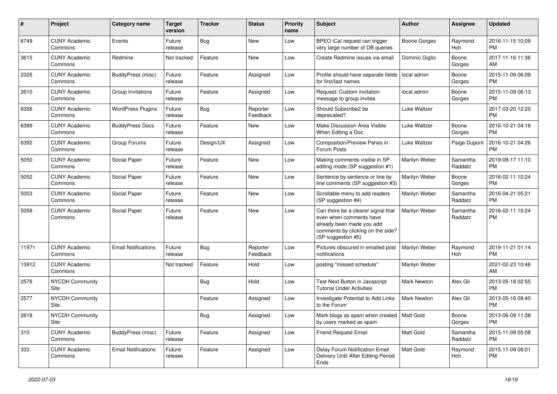| #             | Project                         | <b>Category name</b>       | <b>Target</b><br>version | <b>Tracker</b> | <b>Status</b>        | <b>Priority</b><br>name | <b>Subject</b>                                                                                                                                        | Author              | Assignee              | <b>Updated</b>                |
|---------------|---------------------------------|----------------------------|--------------------------|----------------|----------------------|-------------------------|-------------------------------------------------------------------------------------------------------------------------------------------------------|---------------------|-----------------------|-------------------------------|
| 6749          | <b>CUNY Academic</b><br>Commons | Events                     | Future<br>release        | <b>Bug</b>     | <b>New</b>           | Low                     | BPEO iCal request can trigger<br>very large number of DB queries                                                                                      | <b>Boone Gorges</b> | Raymond<br><b>Hoh</b> | 2016-11-15 10:09<br><b>PM</b> |
| 3615          | <b>CUNY Academic</b><br>Commons | Redmine                    | Not tracked              | Feature        | New                  | Low                     | Create Redmine issues via email                                                                                                                       | Dominic Giglio      | Boone<br>Gorges       | 2017-11-16 11:36<br>AM        |
| 2325          | <b>CUNY Academic</b><br>Commons | BuddyPress (misc)          | Future<br>release        | Feature        | Assigned             | Low                     | Profile should have separate fields<br>for first/last names                                                                                           | local admin         | Boone<br>Gorges       | 2015-11-09 06:09<br><b>PM</b> |
| 2610          | <b>CUNY Academic</b><br>Commons | Group Invitations          | Future<br>release        | Feature        | Assigned             | Low                     | Request: Custom invitation<br>message to group invites                                                                                                | local admin         | Boone<br>Gorges       | 2015-11-09 06:13<br><b>PM</b> |
| 6356          | <b>CUNY Academic</b><br>Commons | <b>WordPress Plugins</b>   | Future<br>release        | Bug            | Reporter<br>Feedback | Low                     | Should Subscribe2 be<br>deprecated?                                                                                                                   | Luke Waltzer        |                       | 2017-03-20 12:20<br><b>PM</b> |
| 6389          | <b>CUNY Academic</b><br>Commons | <b>BuddyPress Docs</b>     | Future<br>release        | Feature        | New                  | Low                     | Make Discussion Area Visible<br>When Editing a Doc                                                                                                    | Luke Waltzer        | Boone<br>Gorges       | 2016-10-21 04:16<br><b>PM</b> |
| 6392          | <b>CUNY Academic</b><br>Commons | Group Forums               | Future<br>release        | Design/UX      | Assigned             | Low                     | Composition/Preview Panes in<br>Forum Posts                                                                                                           | Luke Waltzer        | Paige Dupont          | 2016-10-21 04:26<br><b>PM</b> |
| 5050          | <b>CUNY Academic</b><br>Commons | Social Paper               | Future<br>release        | Feature        | <b>New</b>           | Low                     | Making comments visible in SP<br>editing mode (SP suggestion #1)                                                                                      | Marilyn Weber       | Samantha<br>Raddatz   | 2019-09-17 11:10<br><b>PM</b> |
| 5052          | <b>CUNY Academic</b><br>Commons | Social Paper               | Future<br>release        | Feature        | New                  | Low                     | Sentence by sentence or line by<br>line comments (SP suggestion #3)                                                                                   | Marilyn Weber       | Boone<br>Gorges       | 2016-02-11 10:24<br><b>PM</b> |
| 5053          | <b>CUNY Academic</b><br>Commons | Social Paper               | Future<br>release        | Feature        | <b>New</b>           | Low                     | Scrollable menu to add readers<br>(SP suggestion #4)                                                                                                  | Marilyn Weber       | Samantha<br>Raddatz   | 2016-04-21 05:21<br><b>PM</b> |
| 5058          | <b>CUNY Academic</b><br>Commons | Social Paper               | Future<br>release        | Feature        | <b>New</b>           | Low                     | Can there be a clearer signal that<br>even when comments have<br>already been made you add<br>comments by clicking on the side?<br>(SP suggestion #5) | Marilyn Weber       | Samantha<br>Raddatz   | 2016-02-11 10:24<br><b>PM</b> |
| 11971         | <b>CUNY Academic</b><br>Commons | <b>Email Notifications</b> | Future<br>release        | Bug            | Reporter<br>Feedback | Low                     | Pictures obscured in emailed post<br>notifications                                                                                                    | Marilyn Weber       | Raymond<br>Hoh        | 2019-11-21 01:14<br><b>PM</b> |
| 13912         | <b>CUNY Academic</b><br>Commons |                            | Not tracked              | Feature        | Hold                 | Low                     | posting "missed schedule"                                                                                                                             | Marilyn Weber       |                       | 2021-02-23 10:46<br>AM        |
| 2576          | <b>NYCDH Community</b><br>Site  |                            |                          | Bug            | Hold                 | Low                     | Test Next Button in Javascript<br><b>Tutorial Under Activities</b>                                                                                    | Mark Newton         | Alex Gil              | 2013-05-18 02:55<br><b>PM</b> |
| 2577          | <b>NYCDH Community</b><br>Site  |                            |                          | Feature        | Assigned             | Low                     | Investigate Potential to Add Links<br>to the Forum                                                                                                    | <b>Mark Newton</b>  | Alex Gil              | 2013-05-16 09:40<br><b>PM</b> |
| 2618          | NYCDH Community<br>Site         |                            |                          | <b>Bug</b>     | Assigned             | Low                     | Mark blogs as spam when created   Matt Gold<br>by users marked as spam                                                                                |                     | Boone<br>Gorges       | 2013-06-09 11:38<br>PM.       |
| $ 310\rangle$ | <b>CUNY Academic</b><br>Commons | BuddyPress (misc)          | Future<br>release        | Feature        | Assigned             | Low                     | <b>Friend Request Email</b>                                                                                                                           | Matt Gold           | Samantha<br>Raddatz   | 2015-11-09 05:08<br><b>PM</b> |
| 333           | <b>CUNY Academic</b><br>Commons | <b>Email Notifications</b> | Future<br>release        | Feature        | Assigned             | Low                     | Delay Forum Notification Email<br>Delivery Until After Editing Period<br>Ends                                                                         | <b>Matt Gold</b>    | Raymond<br>Hoh        | 2015-11-09 06:01<br><b>PM</b> |